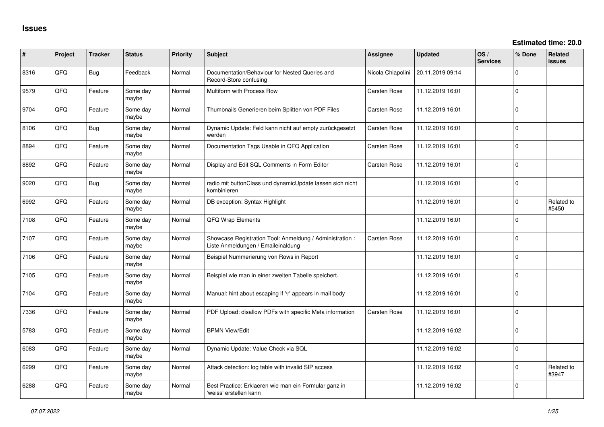| ∦    | Project | <b>Tracker</b> | <b>Status</b>     | <b>Priority</b> | Subject                                                                                        | Assignee          | <b>Updated</b>   | OS/<br><b>Services</b> | % Done         | <b>Related</b><br><b>issues</b> |
|------|---------|----------------|-------------------|-----------------|------------------------------------------------------------------------------------------------|-------------------|------------------|------------------------|----------------|---------------------------------|
| 8316 | QFQ     | <b>Bug</b>     | Feedback          | Normal          | Documentation/Behaviour for Nested Queries and<br>Record-Store confusing                       | Nicola Chiapolini | 20.11.2019 09:14 |                        | 0              |                                 |
| 9579 | QFQ     | Feature        | Some day<br>maybe | Normal          | Multiform with Process Row                                                                     | Carsten Rose      | 11.12.2019 16:01 |                        | 0              |                                 |
| 9704 | QFQ     | Feature        | Some day<br>maybe | Normal          | Thumbnails Generieren beim Splitten von PDF Files                                              | Carsten Rose      | 11.12.2019 16:01 |                        | $\overline{0}$ |                                 |
| 8106 | QFQ     | <b>Bug</b>     | Some day<br>maybe | Normal          | Dynamic Update: Feld kann nicht auf empty zurückgesetzt<br>werden                              | Carsten Rose      | 11.12.2019 16:01 |                        | 0              |                                 |
| 8894 | QFQ     | Feature        | Some day<br>maybe | Normal          | Documentation Tags Usable in QFQ Application                                                   | Carsten Rose      | 11.12.2019 16:01 |                        | 0              |                                 |
| 8892 | QFQ     | Feature        | Some day<br>maybe | Normal          | Display and Edit SQL Comments in Form Editor                                                   | Carsten Rose      | 11.12.2019 16:01 |                        | 0              |                                 |
| 9020 | QFQ     | <b>Bug</b>     | Some day<br>maybe | Normal          | radio mit buttonClass und dynamicUpdate lassen sich nicht<br>kombinieren                       |                   | 11.12.2019 16:01 |                        | $\mathbf 0$    |                                 |
| 6992 | QFQ     | Feature        | Some day<br>maybe | Normal          | DB exception: Syntax Highlight                                                                 |                   | 11.12.2019 16:01 |                        | $\Omega$       | Related to<br>#5450             |
| 7108 | QFQ     | Feature        | Some day<br>maybe | Normal          | QFQ Wrap Elements                                                                              |                   | 11.12.2019 16:01 |                        | $\Omega$       |                                 |
| 7107 | QFQ     | Feature        | Some day<br>maybe | Normal          | Showcase Registration Tool: Anmeldung / Administration :<br>Liste Anmeldungen / Emaileinaldung | Carsten Rose      | 11.12.2019 16:01 |                        | $\mathbf 0$    |                                 |
| 7106 | QFQ     | Feature        | Some day<br>maybe | Normal          | Beispiel Nummerierung von Rows in Report                                                       |                   | 11.12.2019 16:01 |                        | 0              |                                 |
| 7105 | QFQ     | Feature        | Some day<br>maybe | Normal          | Beispiel wie man in einer zweiten Tabelle speichert.                                           |                   | 11.12.2019 16:01 |                        | $\mathbf 0$    |                                 |
| 7104 | QFQ     | Feature        | Some day<br>maybe | Normal          | Manual: hint about escaping if '\r' appears in mail body                                       |                   | 11.12.2019 16:01 |                        | 0              |                                 |
| 7336 | QFQ     | Feature        | Some day<br>maybe | Normal          | PDF Upload: disallow PDFs with specific Meta information                                       | Carsten Rose      | 11.12.2019 16:01 |                        | 0              |                                 |
| 5783 | QFQ     | Feature        | Some day<br>maybe | Normal          | <b>BPMN View/Edit</b>                                                                          |                   | 11.12.2019 16:02 |                        | 0              |                                 |
| 6083 | QFQ     | Feature        | Some day<br>maybe | Normal          | Dynamic Update: Value Check via SQL                                                            |                   | 11.12.2019 16:02 |                        | 0              |                                 |
| 6299 | QFQ     | Feature        | Some day<br>maybe | Normal          | Attack detection: log table with invalid SIP access                                            |                   | 11.12.2019 16:02 |                        | 0              | Related to<br>#3947             |
| 6288 | QFQ     | Feature        | Some day<br>maybe | Normal          | Best Practice: Erklaeren wie man ein Formular ganz in<br>'weiss' erstellen kann                |                   | 11.12.2019 16:02 |                        | 0              |                                 |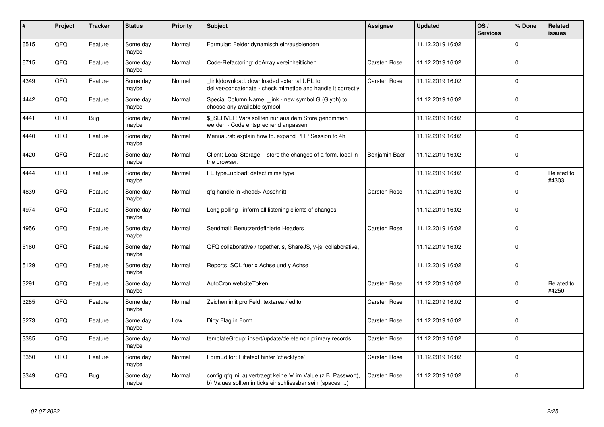| #    | Project | <b>Tracker</b> | <b>Status</b>     | <b>Priority</b> | <b>Subject</b>                                                                                                                | <b>Assignee</b>     | <b>Updated</b>   | OS/<br><b>Services</b> | % Done      | Related<br>issues   |
|------|---------|----------------|-------------------|-----------------|-------------------------------------------------------------------------------------------------------------------------------|---------------------|------------------|------------------------|-------------|---------------------|
| 6515 | QFQ     | Feature        | Some day<br>maybe | Normal          | Formular: Felder dynamisch ein/ausblenden                                                                                     |                     | 11.12.2019 16:02 |                        | 0           |                     |
| 6715 | QFQ     | Feature        | Some day<br>maybe | Normal          | Code-Refactoring: dbArray vereinheitlichen                                                                                    | Carsten Rose        | 11.12.2019 16:02 |                        | $\mathbf 0$ |                     |
| 4349 | QFQ     | Feature        | Some day<br>maybe | Normal          | link download: downloaded external URL to<br>deliver/concatenate - check mimetipe and handle it correctly                     | Carsten Rose        | 11.12.2019 16:02 |                        | $\mathbf 0$ |                     |
| 4442 | QFQ     | Feature        | Some day<br>maybe | Normal          | Special Column Name: _link - new symbol G (Glyph) to<br>choose any available symbol                                           |                     | 11.12.2019 16:02 |                        | $\Omega$    |                     |
| 4441 | QFQ     | <b>Bug</b>     | Some day<br>maybe | Normal          | \$_SERVER Vars sollten nur aus dem Store genommen<br>werden - Code entsprechend anpassen.                                     |                     | 11.12.2019 16:02 |                        | $\mathbf 0$ |                     |
| 4440 | QFQ     | Feature        | Some day<br>maybe | Normal          | Manual.rst: explain how to. expand PHP Session to 4h                                                                          |                     | 11.12.2019 16:02 |                        | $\mathbf 0$ |                     |
| 4420 | QFQ     | Feature        | Some day<br>maybe | Normal          | Client: Local Storage - store the changes of a form, local in<br>the browser.                                                 | Benjamin Baer       | 11.12.2019 16:02 |                        | $\Omega$    |                     |
| 4444 | QFQ     | Feature        | Some day<br>maybe | Normal          | FE.type=upload: detect mime type                                                                                              |                     | 11.12.2019 16:02 |                        | $\Omega$    | Related to<br>#4303 |
| 4839 | QFQ     | Feature        | Some day<br>maybe | Normal          | gfg-handle in <head> Abschnitt</head>                                                                                         | Carsten Rose        | 11.12.2019 16:02 |                        | $\mathbf 0$ |                     |
| 4974 | QFQ     | Feature        | Some day<br>maybe | Normal          | Long polling - inform all listening clients of changes                                                                        |                     | 11.12.2019 16:02 |                        | $\mathbf 0$ |                     |
| 4956 | QFQ     | Feature        | Some day<br>maybe | Normal          | Sendmail: Benutzerdefinierte Headers                                                                                          | Carsten Rose        | 11.12.2019 16:02 |                        | $\Omega$    |                     |
| 5160 | QFQ     | Feature        | Some day<br>maybe | Normal          | QFQ collaborative / together.js, ShareJS, y-js, collaborative,                                                                |                     | 11.12.2019 16:02 |                        | 0           |                     |
| 5129 | QFQ     | Feature        | Some day<br>maybe | Normal          | Reports: SQL fuer x Achse und y Achse                                                                                         |                     | 11.12.2019 16:02 |                        | 0           |                     |
| 3291 | QFQ     | Feature        | Some day<br>maybe | Normal          | AutoCron websiteToken                                                                                                         | <b>Carsten Rose</b> | 11.12.2019 16:02 |                        | $\Omega$    | Related to<br>#4250 |
| 3285 | QFQ     | Feature        | Some day<br>maybe | Normal          | Zeichenlimit pro Feld: textarea / editor                                                                                      | Carsten Rose        | 11.12.2019 16:02 |                        | $\Omega$    |                     |
| 3273 | QFQ     | Feature        | Some day<br>maybe | Low             | Dirty Flag in Form                                                                                                            | Carsten Rose        | 11.12.2019 16:02 |                        | $\Omega$    |                     |
| 3385 | QFQ     | Feature        | Some day<br>maybe | Normal          | templateGroup: insert/update/delete non primary records                                                                       | Carsten Rose        | 11.12.2019 16:02 |                        | $\mathbf 0$ |                     |
| 3350 | QFQ     | Feature        | Some day<br>maybe | Normal          | FormEditor: Hilfetext hinter 'checktype'                                                                                      | Carsten Rose        | 11.12.2019 16:02 |                        | $\Omega$    |                     |
| 3349 | QFQ     | <b>Bug</b>     | Some day<br>maybe | Normal          | config.qfq.ini: a) vertraegt keine '=' im Value (z.B. Passwort),<br>b) Values sollten in ticks einschliessbar sein (spaces, ) | Carsten Rose        | 11.12.2019 16:02 |                        | 0           |                     |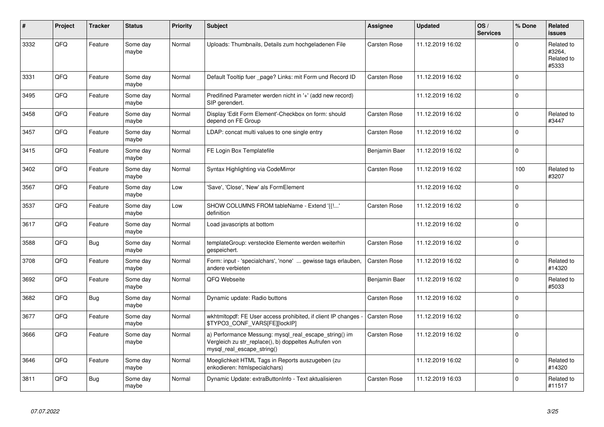| #    | Project | <b>Tracker</b> | <b>Status</b>     | <b>Priority</b> | <b>Subject</b>                                                                                                                               | Assignee            | <b>Updated</b>   | OS/<br><b>Services</b> | % Done      | Related<br><b>issues</b>                    |
|------|---------|----------------|-------------------|-----------------|----------------------------------------------------------------------------------------------------------------------------------------------|---------------------|------------------|------------------------|-------------|---------------------------------------------|
| 3332 | QFQ     | Feature        | Some day<br>maybe | Normal          | Uploads: Thumbnails, Details zum hochgeladenen File                                                                                          | Carsten Rose        | 11.12.2019 16:02 |                        | $\mathbf 0$ | Related to<br>#3264,<br>Related to<br>#5333 |
| 3331 | QFQ     | Feature        | Some day<br>maybe | Normal          | Default Tooltip fuer page? Links: mit Form und Record ID                                                                                     | Carsten Rose        | 11.12.2019 16:02 |                        | $\Omega$    |                                             |
| 3495 | QFQ     | Feature        | Some day<br>maybe | Normal          | Predifined Parameter werden nicht in '+' (add new record)<br>SIP gerendert.                                                                  |                     | 11.12.2019 16:02 |                        | $\Omega$    |                                             |
| 3458 | QFQ     | Feature        | Some day<br>maybe | Normal          | Display 'Edit Form Element'-Checkbox on form: should<br>depend on FE Group                                                                   | Carsten Rose        | 11.12.2019 16:02 |                        | $\Omega$    | Related to<br>#3447                         |
| 3457 | QFQ     | Feature        | Some day<br>maybe | Normal          | LDAP: concat multi values to one single entry                                                                                                | Carsten Rose        | 11.12.2019 16:02 |                        | $\mathbf 0$ |                                             |
| 3415 | QFQ     | Feature        | Some day<br>maybe | Normal          | FE Login Box Templatefile                                                                                                                    | Benjamin Baer       | 11.12.2019 16:02 |                        | $\mathbf 0$ |                                             |
| 3402 | QFQ     | Feature        | Some day<br>maybe | Normal          | Syntax Highlighting via CodeMirror                                                                                                           | Carsten Rose        | 11.12.2019 16:02 |                        | 100         | Related to<br>#3207                         |
| 3567 | QFQ     | Feature        | Some day<br>maybe | Low             | 'Save', 'Close', 'New' als FormElement                                                                                                       |                     | 11.12.2019 16:02 |                        | $\mathbf 0$ |                                             |
| 3537 | QFQ     | Feature        | Some day<br>maybe | Low             | SHOW COLUMNS FROM tableName - Extend '{{!'<br>definition                                                                                     | Carsten Rose        | 11.12.2019 16:02 |                        | $\Omega$    |                                             |
| 3617 | QFQ     | Feature        | Some day<br>maybe | Normal          | Load javascripts at bottom                                                                                                                   |                     | 11.12.2019 16:02 |                        | $\Omega$    |                                             |
| 3588 | QFQ     | <b>Bug</b>     | Some day<br>maybe | Normal          | templateGroup: versteckte Elemente werden weiterhin<br>gespeichert.                                                                          | Carsten Rose        | 11.12.2019 16:02 |                        | $\Omega$    |                                             |
| 3708 | QFQ     | Feature        | Some day<br>maybe | Normal          | Form: input - 'specialchars', 'none'  gewisse tags erlauben,<br>andere verbieten                                                             | Carsten Rose        | 11.12.2019 16:02 |                        | 0           | Related to<br>#14320                        |
| 3692 | QFQ     | Feature        | Some day<br>maybe | Normal          | QFQ Webseite                                                                                                                                 | Benjamin Baer       | 11.12.2019 16:02 |                        | $\mathbf 0$ | Related to<br>#5033                         |
| 3682 | QFQ     | <b>Bug</b>     | Some day<br>maybe | Normal          | Dynamic update: Radio buttons                                                                                                                | Carsten Rose        | 11.12.2019 16:02 |                        | $\Omega$    |                                             |
| 3677 | QFQ     | Feature        | Some day<br>maybe | Normal          | wkhtmitopdf: FE User access prohibited, if client IP changes<br>\$TYPO3_CONF_VARS[FE][lockIP]                                                | <b>Carsten Rose</b> | 11.12.2019 16:02 |                        | 0           |                                             |
| 3666 | QFQ     | Feature        | Some day<br>maybe | Normal          | a) Performance Messung: mysql_real_escape_string() im<br>Vergleich zu str_replace(), b) doppeltes Aufrufen von<br>mysql_real_escape_string() | Carsten Rose        | 11.12.2019 16:02 |                        | $\Omega$    |                                             |
| 3646 | QFQ     | Feature        | Some day<br>maybe | Normal          | Moeglichkeit HTML Tags in Reports auszugeben (zu<br>enkodieren: htmlspecialchars)                                                            |                     | 11.12.2019 16:02 |                        | 0           | Related to<br>#14320                        |
| 3811 | QFQ     | <b>Bug</b>     | Some day<br>maybe | Normal          | Dynamic Update: extraButtonInfo - Text aktualisieren                                                                                         | Carsten Rose        | 11.12.2019 16:03 |                        | $\mathbf 0$ | Related to<br>#11517                        |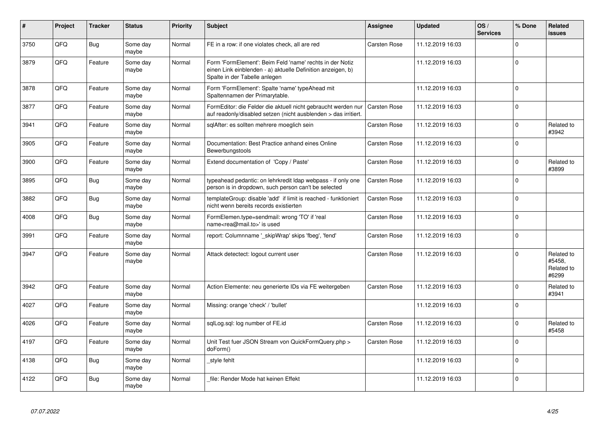| #    | <b>Project</b> | <b>Tracker</b> | <b>Status</b>     | <b>Priority</b> | <b>Subject</b>                                                                                                                                           | Assignee            | <b>Updated</b>   | OS/<br><b>Services</b> | % Done      | Related<br>issues                           |
|------|----------------|----------------|-------------------|-----------------|----------------------------------------------------------------------------------------------------------------------------------------------------------|---------------------|------------------|------------------------|-------------|---------------------------------------------|
| 3750 | QFQ            | <b>Bug</b>     | Some day<br>maybe | Normal          | FE in a row: if one violates check, all are red                                                                                                          | Carsten Rose        | 11.12.2019 16:03 |                        | $\Omega$    |                                             |
| 3879 | QFQ            | Feature        | Some day<br>maybe | Normal          | Form 'FormElement': Beim Feld 'name' rechts in der Notiz<br>einen Link einblenden - a) aktuelle Definition anzeigen, b)<br>Spalte in der Tabelle anlegen |                     | 11.12.2019 16:03 |                        | $\Omega$    |                                             |
| 3878 | QFQ            | Feature        | Some day<br>maybe | Normal          | Form 'FormElement': Spalte 'name' typeAhead mit<br>Spaltennamen der Primarytable.                                                                        |                     | 11.12.2019 16:03 |                        | $\mathbf 0$ |                                             |
| 3877 | QFQ            | Feature        | Some day<br>maybe | Normal          | FormEditor: die Felder die aktuell nicht gebraucht werden nur<br>auf readonly/disabled setzen (nicht ausblenden > das irritiert.                         | <b>Carsten Rose</b> | 11.12.2019 16:03 |                        | $\mathbf 0$ |                                             |
| 3941 | QFQ            | Feature        | Some day<br>maybe | Normal          | sglAfter: es sollten mehrere moeglich sein                                                                                                               | Carsten Rose        | 11.12.2019 16:03 |                        | $\Omega$    | Related to<br>#3942                         |
| 3905 | QFQ            | Feature        | Some day<br>maybe | Normal          | Documentation: Best Practice anhand eines Online<br>Bewerbungstools                                                                                      | Carsten Rose        | 11.12.2019 16:03 |                        | $\Omega$    |                                             |
| 3900 | QFQ            | Feature        | Some day<br>maybe | Normal          | Extend documentation of 'Copy / Paste'                                                                                                                   | Carsten Rose        | 11.12.2019 16:03 |                        | $\Omega$    | Related to<br>#3899                         |
| 3895 | QFQ            | <b>Bug</b>     | Some day<br>maybe | Normal          | typeahead pedantic: on lehrkredit Idap webpass - if only one<br>person is in dropdown, such person can't be selected                                     | <b>Carsten Rose</b> | 11.12.2019 16:03 |                        | $\Omega$    |                                             |
| 3882 | QFQ            | <b>Bug</b>     | Some day<br>maybe | Normal          | templateGroup: disable 'add' if limit is reached - funktioniert<br>nicht wenn bereits records existierten                                                | <b>Carsten Rose</b> | 11.12.2019 16:03 |                        | $\mathbf 0$ |                                             |
| 4008 | QFQ            | Bug            | Some day<br>maybe | Normal          | FormElemen.type=sendmail: wrong 'TO' if 'real<br>name <rea@mail.to>' is used</rea@mail.to>                                                               | <b>Carsten Rose</b> | 11.12.2019 16:03 |                        | $\mathbf 0$ |                                             |
| 3991 | QFQ            | Feature        | Some day<br>maybe | Normal          | report: Columnname ' skipWrap' skips 'fbeg', 'fend'                                                                                                      | Carsten Rose        | 11.12.2019 16:03 |                        | 0           |                                             |
| 3947 | QFQ            | Feature        | Some day<br>maybe | Normal          | Attack detectect: logout current user                                                                                                                    | <b>Carsten Rose</b> | 11.12.2019 16:03 |                        | $\Omega$    | Related to<br>#5458.<br>Related to<br>#6299 |
| 3942 | QFQ            | Feature        | Some day<br>maybe | Normal          | Action Elemente: neu generierte IDs via FE weitergeben                                                                                                   | Carsten Rose        | 11.12.2019 16:03 |                        | $\Omega$    | Related to<br>#3941                         |
| 4027 | QFQ            | Feature        | Some day<br>maybe | Normal          | Missing: orange 'check' / 'bullet'                                                                                                                       |                     | 11.12.2019 16:03 |                        | 0           |                                             |
| 4026 | QFQ            | Feature        | Some day<br>maybe | Normal          | sqlLog.sql: log number of FE.id                                                                                                                          | Carsten Rose        | 11.12.2019 16:03 |                        | $\Omega$    | Related to<br>#5458                         |
| 4197 | QFQ            | Feature        | Some day<br>maybe | Normal          | Unit Test fuer JSON Stream von QuickFormQuery.php ><br>doForm()                                                                                          | <b>Carsten Rose</b> | 11.12.2019 16:03 |                        | $\Omega$    |                                             |
| 4138 | QFQ            | Bug            | Some day<br>maybe | Normal          | style fehlt                                                                                                                                              |                     | 11.12.2019 16:03 |                        | $\mathbf 0$ |                                             |
| 4122 | QFQ            | <b>Bug</b>     | Some day<br>maybe | Normal          | file: Render Mode hat keinen Effekt                                                                                                                      |                     | 11.12.2019 16:03 |                        | $\Omega$    |                                             |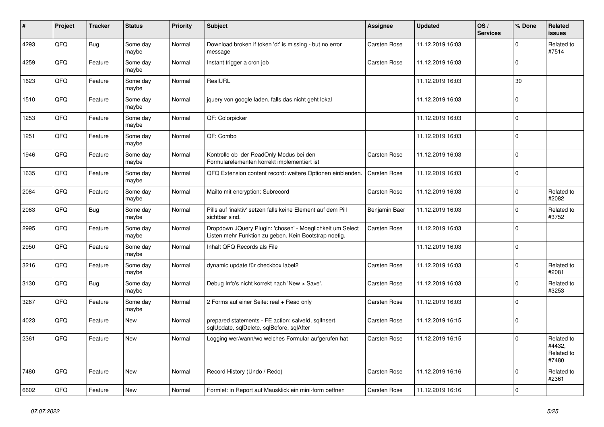| $\vert$ # | Project | <b>Tracker</b> | <b>Status</b>     | <b>Priority</b> | <b>Subject</b>                                                                                                     | <b>Assignee</b>     | <b>Updated</b>   | OS/<br><b>Services</b> | % Done         | Related<br>issues                           |
|-----------|---------|----------------|-------------------|-----------------|--------------------------------------------------------------------------------------------------------------------|---------------------|------------------|------------------------|----------------|---------------------------------------------|
| 4293      | QFQ     | <b>Bug</b>     | Some day<br>maybe | Normal          | Download broken if token 'd:' is missing - but no error<br>message                                                 | Carsten Rose        | 11.12.2019 16:03 |                        | $\Omega$       | Related to<br>#7514                         |
| 4259      | QFQ     | Feature        | Some day<br>maybe | Normal          | Instant trigger a cron job                                                                                         | Carsten Rose        | 11.12.2019 16:03 |                        | $\Omega$       |                                             |
| 1623      | QFQ     | Feature        | Some day<br>maybe | Normal          | RealURL                                                                                                            |                     | 11.12.2019 16:03 |                        | 30             |                                             |
| 1510      | QFQ     | Feature        | Some day<br>maybe | Normal          | jquery von google laden, falls das nicht geht lokal                                                                |                     | 11.12.2019 16:03 |                        | $\Omega$       |                                             |
| 1253      | QFQ     | Feature        | Some day<br>maybe | Normal          | QF: Colorpicker                                                                                                    |                     | 11.12.2019 16:03 |                        | $\Omega$       |                                             |
| 1251      | QFQ     | Feature        | Some day<br>maybe | Normal          | QF: Combo                                                                                                          |                     | 11.12.2019 16:03 |                        | $\Omega$       |                                             |
| 1946      | QFQ     | Feature        | Some day<br>maybe | Normal          | Kontrolle ob der ReadOnly Modus bei den<br>Formularelementen korrekt implementiert ist                             | <b>Carsten Rose</b> | 11.12.2019 16:03 |                        | $\Omega$       |                                             |
| 1635      | QFQ     | Feature        | Some day<br>maybe | Normal          | QFQ Extension content record: weitere Optionen einblenden.                                                         | Carsten Rose        | 11.12.2019 16:03 |                        | $\mathbf 0$    |                                             |
| 2084      | QFQ     | Feature        | Some day<br>maybe | Normal          | Mailto mit encryption: Subrecord                                                                                   | Carsten Rose        | 11.12.2019 16:03 |                        | $\Omega$       | Related to<br>#2082                         |
| 2063      | QFQ     | <b>Bug</b>     | Some day<br>maybe | Normal          | Pills auf 'inaktiv' setzen falls keine Element auf dem Pill<br>sichtbar sind.                                      | Benjamin Baer       | 11.12.2019 16:03 |                        | $\Omega$       | Related to<br>#3752                         |
| 2995      | QFQ     | Feature        | Some day<br>maybe | Normal          | Dropdown JQuery Plugin: 'chosen' - Moeglichkeit um Select<br>Listen mehr Funktion zu geben. Kein Bootstrap noetig. | Carsten Rose        | 11.12.2019 16:03 |                        | $\Omega$       |                                             |
| 2950      | QFQ     | Feature        | Some day<br>maybe | Normal          | Inhalt QFQ Records als File                                                                                        |                     | 11.12.2019 16:03 |                        | $\overline{0}$ |                                             |
| 3216      | QFQ     | Feature        | Some day<br>maybe | Normal          | dynamic update für checkbox label2                                                                                 | Carsten Rose        | 11.12.2019 16:03 |                        | $\Omega$       | Related to<br>#2081                         |
| 3130      | QFQ     | <b>Bug</b>     | Some day<br>maybe | Normal          | Debug Info's nicht korrekt nach 'New > Save'.                                                                      | Carsten Rose        | 11.12.2019 16:03 |                        | $\Omega$       | Related to<br>#3253                         |
| 3267      | QFQ     | Feature        | Some day<br>maybe | Normal          | 2 Forms auf einer Seite: real + Read only                                                                          | Carsten Rose        | 11.12.2019 16:03 |                        | $\Omega$       |                                             |
| 4023      | QFQ     | Feature        | New               | Normal          | prepared statements - FE action: salveld, sqllnsert,<br>sqlUpdate, sqlDelete, sqlBefore, sqlAfter                  | Carsten Rose        | 11.12.2019 16:15 |                        | $\Omega$       |                                             |
| 2361      | QFQ     | Feature        | New               | Normal          | Logging wer/wann/wo welches Formular aufgerufen hat                                                                | Carsten Rose        | 11.12.2019 16:15 |                        | $\Omega$       | Related to<br>#4432,<br>Related to<br>#7480 |
| 7480      | QFQ     | Feature        | <b>New</b>        | Normal          | Record History (Undo / Redo)                                                                                       | Carsten Rose        | 11.12.2019 16:16 |                        | $\Omega$       | Related to<br>#2361                         |
| 6602      | QFQ     | Feature        | New               | Normal          | Formlet: in Report auf Mausklick ein mini-form oeffnen                                                             | Carsten Rose        | 11.12.2019 16:16 |                        | $\overline{0}$ |                                             |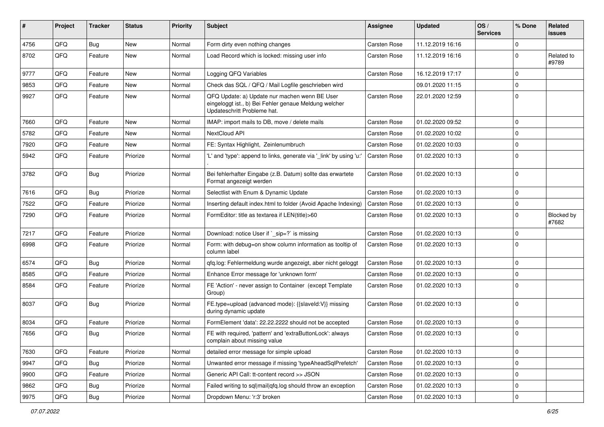| ∦    | Project | <b>Tracker</b> | <b>Status</b> | <b>Priority</b> | Subject                                                                                                                               | Assignee            | <b>Updated</b>   | OS/<br><b>Services</b> | % Done      | Related<br>issues   |
|------|---------|----------------|---------------|-----------------|---------------------------------------------------------------------------------------------------------------------------------------|---------------------|------------------|------------------------|-------------|---------------------|
| 4756 | QFQ     | Bug            | New           | Normal          | Form dirty even nothing changes                                                                                                       | Carsten Rose        | 11.12.2019 16:16 |                        | 0           |                     |
| 8702 | QFQ     | Feature        | New           | Normal          | Load Record which is locked: missing user info                                                                                        | Carsten Rose        | 11.12.2019 16:16 |                        | 0           | Related to<br>#9789 |
| 9777 | QFQ     | Feature        | New           | Normal          | Logging QFQ Variables                                                                                                                 | Carsten Rose        | 16.12.2019 17:17 |                        | $\mathbf 0$ |                     |
| 9853 | QFQ     | Feature        | New           | Normal          | Check das SQL / QFQ / Mail Logfile geschrieben wird                                                                                   |                     | 09.01.2020 11:15 |                        | $\mathbf 0$ |                     |
| 9927 | QFQ     | Feature        | New           | Normal          | QFQ Update: a) Update nur machen wenn BE User<br>eingeloggt ist., b) Bei Fehler genaue Meldung welcher<br>Updateschritt Probleme hat. | Carsten Rose        | 22.01.2020 12:59 |                        | $\Omega$    |                     |
| 7660 | QFQ     | Feature        | <b>New</b>    | Normal          | IMAP: import mails to DB, move / delete mails                                                                                         | Carsten Rose        | 01.02.2020 09:52 |                        | $\mathbf 0$ |                     |
| 5782 | QFQ     | Feature        | New           | Normal          | NextCloud API                                                                                                                         | Carsten Rose        | 01.02.2020 10:02 |                        | $\mathbf 0$ |                     |
| 7920 | QFQ     | Feature        | New           | Normal          | FE: Syntax Highlight, Zeinlenumbruch                                                                                                  | Carsten Rose        | 01.02.2020 10:03 |                        | $\mathbf 0$ |                     |
| 5942 | QFQ     | Feature        | Priorize      | Normal          | 'L' and 'type': append to links, generate via '_link' by using 'u:'                                                                   | Carsten Rose        | 01.02.2020 10:13 |                        | $\mathbf 0$ |                     |
| 3782 | QFQ     | <b>Bug</b>     | Priorize      | Normal          | Bei fehlerhafter Eingabe (z.B. Datum) sollte das erwartete<br>Format angezeigt werden                                                 | Carsten Rose        | 01.02.2020 10:13 |                        | $\mathbf 0$ |                     |
| 7616 | QFQ     | Bug            | Priorize      | Normal          | Selectlist with Enum & Dynamic Update                                                                                                 | Carsten Rose        | 01.02.2020 10:13 |                        | 0           |                     |
| 7522 | QFQ     | Feature        | Priorize      | Normal          | Inserting default index.html to folder (Avoid Apache Indexing)                                                                        | Carsten Rose        | 01.02.2020 10:13 |                        | $\mathbf 0$ |                     |
| 7290 | QFQ     | Feature        | Priorize      | Normal          | FormEditor: title as textarea if LEN(title)>60                                                                                        | Carsten Rose        | 01.02.2020 10:13 |                        | 0           | Blocked by<br>#7682 |
| 7217 | QFQ     | Feature        | Priorize      | Normal          | Download: notice User if `_sip=?` is missing                                                                                          | Carsten Rose        | 01.02.2020 10:13 |                        | $\mathbf 0$ |                     |
| 6998 | QFQ     | Feature        | Priorize      | Normal          | Form: with debug=on show column information as tooltip of<br>column label                                                             | Carsten Rose        | 01.02.2020 10:13 |                        | $\Omega$    |                     |
| 6574 | QFQ     | <b>Bug</b>     | Priorize      | Normal          | gfg.log: Fehlermeldung wurde angezeigt, aber nicht geloggt                                                                            | <b>Carsten Rose</b> | 01.02.2020 10:13 |                        | $\mathbf 0$ |                     |
| 8585 | QFQ     | Feature        | Priorize      | Normal          | Enhance Error message for 'unknown form'                                                                                              | Carsten Rose        | 01.02.2020 10:13 |                        | $\mathbf 0$ |                     |
| 8584 | QFQ     | Feature        | Priorize      | Normal          | FE 'Action' - never assign to Container (except Template<br>Group)                                                                    | Carsten Rose        | 01.02.2020 10:13 |                        | $\Omega$    |                     |
| 8037 | QFQ     | Bug            | Priorize      | Normal          | FE.type=upload (advanced mode): {{slaveId:V}} missing<br>during dynamic update                                                        | Carsten Rose        | 01.02.2020 10:13 |                        | $\Omega$    |                     |
| 8034 | QFQ     | Feature        | Priorize      | Normal          | FormElement 'data': 22.22.2222 should not be accepted                                                                                 | Carsten Rose        | 01.02.2020 10:13 |                        | $\mathbf 0$ |                     |
| 7656 | QFQ     | Bug            | Priorize      | Normal          | FE with required, 'pattern' and 'extraButtonLock': always<br>complain about missing value                                             | Carsten Rose        | 01.02.2020 10:13 |                        | $\mathbf 0$ |                     |
| 7630 | QFQ     | Feature        | Priorize      | Normal          | detailed error message for simple upload                                                                                              | Carsten Rose        | 01.02.2020 10:13 |                        | $\mathbf 0$ |                     |
| 9947 | QFQ     | <b>Bug</b>     | Priorize      | Normal          | Unwanted error message if missing 'typeAheadSqlPrefetch'                                                                              | Carsten Rose        | 01.02.2020 10:13 |                        | $\mathbf 0$ |                     |
| 9900 | QFQ     | Feature        | Priorize      | Normal          | Generic API Call: tt-content record >> JSON                                                                                           | Carsten Rose        | 01.02.2020 10:13 |                        | 0           |                     |
| 9862 | QFQ     | <b>Bug</b>     | Priorize      | Normal          | Failed writing to sql mail qfq.log should throw an exception                                                                          | Carsten Rose        | 01.02.2020 10:13 |                        | 0           |                     |
| 9975 | QFQ     | <b>Bug</b>     | Priorize      | Normal          | Dropdown Menu: 'r:3' broken                                                                                                           | Carsten Rose        | 01.02.2020 10:13 |                        | $\mathbf 0$ |                     |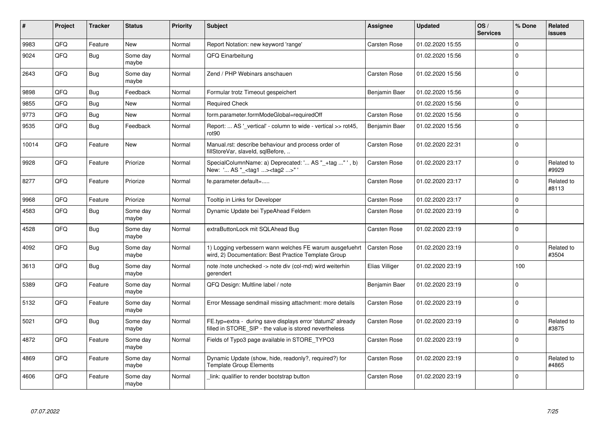| #     | Project | <b>Tracker</b> | <b>Status</b>     | <b>Priority</b> | <b>Subject</b>                                                                                                       | Assignee       | <b>Updated</b>   | OS/<br><b>Services</b> | % Done       | Related<br>issues   |
|-------|---------|----------------|-------------------|-----------------|----------------------------------------------------------------------------------------------------------------------|----------------|------------------|------------------------|--------------|---------------------|
| 9983  | QFQ     | Feature        | New               | Normal          | Report Notation: new keyword 'range'                                                                                 | Carsten Rose   | 01.02.2020 15:55 |                        | $\Omega$     |                     |
| 9024  | QFQ     | Bug            | Some day<br>maybe | Normal          | QFQ Einarbeitung                                                                                                     |                | 01.02.2020 15:56 |                        | $\Omega$     |                     |
| 2643  | QFQ     | <b>Bug</b>     | Some day<br>maybe | Normal          | Zend / PHP Webinars anschauen                                                                                        | Carsten Rose   | 01.02.2020 15:56 |                        | $\Omega$     |                     |
| 9898  | QFQ     | <b>Bug</b>     | Feedback          | Normal          | Formular trotz Timeout gespeichert                                                                                   | Benjamin Baer  | 01.02.2020 15:56 |                        | $\mathbf 0$  |                     |
| 9855  | QFQ     | <b>Bug</b>     | New               | Normal          | <b>Required Check</b>                                                                                                |                | 01.02.2020 15:56 |                        | $\Omega$     |                     |
| 9773  | QFQ     | <b>Bug</b>     | New               | Normal          | form.parameter.formModeGlobal=requiredOff                                                                            | Carsten Rose   | 01.02.2020 15:56 |                        | $\mathsf{O}$ |                     |
| 9535  | QFQ     | <b>Bug</b>     | Feedback          | Normal          | Report:  AS ' vertical' - column to wide - vertical >> rot45,<br>rot <sub>90</sub>                                   | Benjamin Baer  | 01.02.2020 15:56 |                        | $\mathbf 0$  |                     |
| 10014 | QFQ     | Feature        | New               | Normal          | Manual.rst: describe behaviour and process order of<br>fillStoreVar, slaveId, sqlBefore,                             | Carsten Rose   | 01.02.2020 22:31 |                        | $\mathbf 0$  |                     |
| 9928  | QFQ     | Feature        | Priorize          | Normal          | SpecialColumnName: a) Deprecated: ' AS "_+tag " ', b)<br>New: ' AS "_ <tag1><tag2>"</tag2></tag1>                    | Carsten Rose   | 01.02.2020 23:17 |                        | $\mathbf 0$  | Related to<br>#9929 |
| 8277  | QFQ     | Feature        | Priorize          | Normal          | fe.parameter.default=                                                                                                | Carsten Rose   | 01.02.2020 23:17 |                        | $\Omega$     | Related to<br>#8113 |
| 9968  | QFQ     | Feature        | Priorize          | Normal          | Tooltip in Links for Developer                                                                                       | Carsten Rose   | 01.02.2020 23:17 |                        | $\Omega$     |                     |
| 4583  | QFQ     | <b>Bug</b>     | Some day<br>maybe | Normal          | Dynamic Update bei TypeAhead Feldern                                                                                 | Carsten Rose   | 01.02.2020 23:19 |                        | $\mathbf 0$  |                     |
| 4528  | QFQ     | <b>Bug</b>     | Some day<br>maybe | Normal          | extraButtonLock mit SQLAhead Bug                                                                                     | Carsten Rose   | 01.02.2020 23:19 |                        | $\Omega$     |                     |
| 4092  | QFQ     | <b>Bug</b>     | Some day<br>maybe | Normal          | 1) Logging verbessern wann welches FE warum ausgefuehrt<br>wird, 2) Documentation: Best Practice Template Group      | Carsten Rose   | 01.02.2020 23:19 |                        | $\Omega$     | Related to<br>#3504 |
| 3613  | QFQ     | <b>Bug</b>     | Some day<br>maybe | Normal          | note /note unchecked -> note div (col-md) wird weiterhin<br>gerendert                                                | Elias Villiger | 01.02.2020 23:19 |                        | 100          |                     |
| 5389  | QFQ     | Feature        | Some day<br>maybe | Normal          | QFQ Design: Multline label / note                                                                                    | Benjamin Baer  | 01.02.2020 23:19 |                        | $\mathbf 0$  |                     |
| 5132  | QFQ     | Feature        | Some day<br>maybe | Normal          | Error Message sendmail missing attachment: more details                                                              | Carsten Rose   | 01.02.2020 23:19 |                        | $\Omega$     |                     |
| 5021  | QFQ     | <b>Bug</b>     | Some day<br>maybe | Normal          | FE.typ=extra - during save displays error 'datum2' already<br>filled in STORE SIP - the value is stored nevertheless | Carsten Rose   | 01.02.2020 23:19 |                        | $\Omega$     | Related to<br>#3875 |
| 4872  | QFQ     | Feature        | Some day<br>maybe | Normal          | Fields of Typo3 page available in STORE_TYPO3                                                                        | Carsten Rose   | 01.02.2020 23:19 |                        | $\mathbf 0$  |                     |
| 4869  | QFQ     | Feature        | Some day<br>maybe | Normal          | Dynamic Update (show, hide, readonly?, required?) for<br><b>Template Group Elements</b>                              | Carsten Rose   | 01.02.2020 23:19 |                        | $\Omega$     | Related to<br>#4865 |
| 4606  | QFQ     | Feature        | Some day<br>maybe | Normal          | link: qualifier to render bootstrap button                                                                           | Carsten Rose   | 01.02.2020 23:19 |                        | $\Omega$     |                     |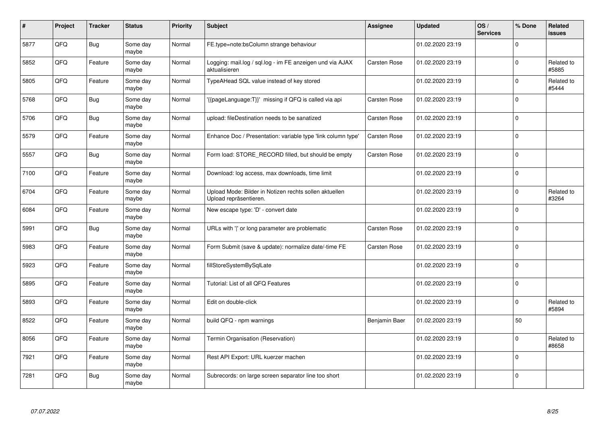| #    | Project | <b>Tracker</b> | <b>Status</b>     | <b>Priority</b> | <b>Subject</b>                                                                   | Assignee            | <b>Updated</b>   | OS/<br><b>Services</b> | % Done      | Related<br>issues   |
|------|---------|----------------|-------------------|-----------------|----------------------------------------------------------------------------------|---------------------|------------------|------------------------|-------------|---------------------|
| 5877 | QFQ     | <b>Bug</b>     | Some day<br>maybe | Normal          | FE.type=note:bsColumn strange behaviour                                          |                     | 01.02.2020 23:19 |                        | $\Omega$    |                     |
| 5852 | QFQ     | Feature        | Some day<br>maybe | Normal          | Logging: mail.log / sql.log - im FE anzeigen und via AJAX<br>aktualisieren       | Carsten Rose        | 01.02.2020 23:19 |                        | $\Omega$    | Related to<br>#5885 |
| 5805 | QFQ     | Feature        | Some day<br>maybe | Normal          | TypeAHead SQL value instead of key stored                                        |                     | 01.02.2020 23:19 |                        | $\Omega$    | Related to<br>#5444 |
| 5768 | QFQ     | <b>Bug</b>     | Some day<br>maybe | Normal          | '{{pageLanguage:T}}' missing if QFQ is called via api                            | <b>Carsten Rose</b> | 01.02.2020 23:19 |                        | $\Omega$    |                     |
| 5706 | QFQ     | <b>Bug</b>     | Some day<br>maybe | Normal          | upload: fileDestination needs to be sanatized                                    | <b>Carsten Rose</b> | 01.02.2020 23:19 |                        | 0           |                     |
| 5579 | QFQ     | Feature        | Some day<br>maybe | Normal          | Enhance Doc / Presentation: variable type 'link column type'                     | Carsten Rose        | 01.02.2020 23:19 |                        | $\Omega$    |                     |
| 5557 | QFQ     | <b>Bug</b>     | Some day<br>maybe | Normal          | Form load: STORE_RECORD filled, but should be empty                              | Carsten Rose        | 01.02.2020 23:19 |                        | $\Omega$    |                     |
| 7100 | QFQ     | Feature        | Some day<br>maybe | Normal          | Download: log access, max downloads, time limit                                  |                     | 01.02.2020 23:19 |                        | $\Omega$    |                     |
| 6704 | QFQ     | Feature        | Some day<br>maybe | Normal          | Upload Mode: Bilder in Notizen rechts sollen aktuellen<br>Upload repräsentieren. |                     | 01.02.2020 23:19 |                        | $\Omega$    | Related to<br>#3264 |
| 6084 | QFQ     | Feature        | Some day<br>maybe | Normal          | New escape type: 'D' - convert date                                              |                     | 01.02.2020 23:19 |                        | $\Omega$    |                     |
| 5991 | QFQ     | Bug            | Some day<br>maybe | Normal          | URLs with ' ' or long parameter are problematic                                  | Carsten Rose        | 01.02.2020 23:19 |                        | $\mathbf 0$ |                     |
| 5983 | QFQ     | Feature        | Some day<br>maybe | Normal          | Form Submit (save & update): normalize date/-time FE                             | Carsten Rose        | 01.02.2020 23:19 |                        | $\mathbf 0$ |                     |
| 5923 | QFQ     | Feature        | Some day<br>maybe | Normal          | fillStoreSystemBySqlLate                                                         |                     | 01.02.2020 23:19 |                        | 0           |                     |
| 5895 | QFQ     | Feature        | Some day<br>maybe | Normal          | Tutorial: List of all QFQ Features                                               |                     | 01.02.2020 23:19 |                        | $\mathbf 0$ |                     |
| 5893 | QFQ     | Feature        | Some day<br>maybe | Normal          | Edit on double-click                                                             |                     | 01.02.2020 23:19 |                        | $\Omega$    | Related to<br>#5894 |
| 8522 | QFQ     | Feature        | Some day<br>maybe | Normal          | build QFQ - npm warnings                                                         | Benjamin Baer       | 01.02.2020 23:19 |                        | 50          |                     |
| 8056 | QFQ     | Feature        | Some day<br>maybe | Normal          | Termin Organisation (Reservation)                                                |                     | 01.02.2020 23:19 |                        | $\Omega$    | Related to<br>#8658 |
| 7921 | QFQ     | Feature        | Some day<br>maybe | Normal          | Rest API Export: URL kuerzer machen                                              |                     | 01.02.2020 23:19 |                        | $\Omega$    |                     |
| 7281 | QFQ     | <b>Bug</b>     | Some day<br>maybe | Normal          | Subrecords: on large screen separator line too short                             |                     | 01.02.2020 23:19 |                        | $\Omega$    |                     |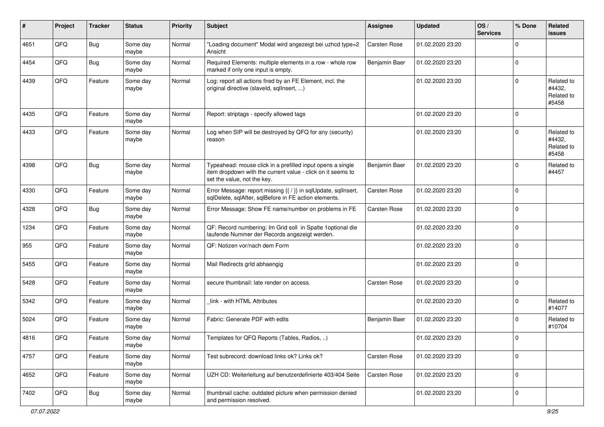| #    | Project | <b>Tracker</b> | <b>Status</b>     | <b>Priority</b> | <b>Subject</b>                                                                                                                                           | <b>Assignee</b> | <b>Updated</b>   | OS/<br><b>Services</b> | % Done      | Related<br>issues                           |
|------|---------|----------------|-------------------|-----------------|----------------------------------------------------------------------------------------------------------------------------------------------------------|-----------------|------------------|------------------------|-------------|---------------------------------------------|
| 4651 | QFQ     | <b>Bug</b>     | Some day<br>maybe | Normal          | "Loading document" Modal wird angezeigt bei uzhcd type=2<br>Ansicht                                                                                      | Carsten Rose    | 01.02.2020 23:20 |                        | $\Omega$    |                                             |
| 4454 | QFQ     | Bug            | Some day<br>maybe | Normal          | Required Elements: multiple elements in a row - whole row<br>marked if only one input is empty.                                                          | Benjamin Baer   | 01.02.2020 23:20 |                        | 0           |                                             |
| 4439 | QFQ     | Feature        | Some day<br>maybe | Normal          | Log: report all actions fired by an FE Element, incl. the<br>original directive (slaveld, sqllnsert, )                                                   |                 | 01.02.2020 23:20 |                        | $\Omega$    | Related to<br>#4432,<br>Related to<br>#5458 |
| 4435 | QFQ     | Feature        | Some day<br>maybe | Normal          | Report: striptags - specify allowed tags                                                                                                                 |                 | 01.02.2020 23:20 |                        | 0           |                                             |
| 4433 | QFQ     | Feature        | Some day<br>maybe | Normal          | Log when SIP will be destroyed by QFQ for any (security)<br>reason                                                                                       |                 | 01.02.2020 23:20 |                        | $\Omega$    | Related to<br>#4432,<br>Related to<br>#5458 |
| 4398 | QFQ     | <b>Bug</b>     | Some day<br>maybe | Normal          | Typeahead: mouse click in a prefilled input opens a single<br>item dropdown with the current value - click on it seems to<br>set the value, not the key. | Benjamin Baer   | 01.02.2020 23:20 |                        | $\Omega$    | Related to<br>#4457                         |
| 4330 | QFQ     | Feature        | Some day<br>maybe | Normal          | Error Message: report missing {{ / }} in sqlUpdate, sqlInsert,<br>sqlDelete, sqlAfter, sqlBefore in FE action elements.                                  | Carsten Rose    | 01.02.2020 23:20 |                        | $\mathbf 0$ |                                             |
| 4328 | QFQ     | Bug            | Some day<br>maybe | Normal          | Error Message: Show FE name/number on problems in FE                                                                                                     | Carsten Rose    | 01.02.2020 23:20 |                        | $\mathbf 0$ |                                             |
| 1234 | QFQ     | Feature        | Some day<br>maybe | Normal          | QF: Record numbering: Im Grid soll in Spalte 1 optional die<br>laufende Nummer der Records angezeigt werden.                                             |                 | 01.02.2020 23:20 |                        | $\Omega$    |                                             |
| 955  | QFQ     | Feature        | Some day<br>maybe | Normal          | QF: Notizen vor/nach dem Form                                                                                                                            |                 | 01.02.2020 23:20 |                        | $\Omega$    |                                             |
| 5455 | QFQ     | Feature        | Some day<br>maybe | Normal          | Mail Redirects grld abhaengig                                                                                                                            |                 | 01.02.2020 23:20 |                        | $\Omega$    |                                             |
| 5428 | QFQ     | Feature        | Some day<br>maybe | Normal          | secure thumbnail: late render on access.                                                                                                                 | Carsten Rose    | 01.02.2020 23:20 |                        | $\Omega$    |                                             |
| 5342 | QFQ     | Feature        | Some day<br>maybe | Normal          | link - with HTML Attributes                                                                                                                              |                 | 01.02.2020 23:20 |                        | $\Omega$    | Related to<br>#14077                        |
| 5024 | QFQ     | Feature        | Some day<br>maybe | Normal          | Fabric: Generate PDF with edits                                                                                                                          | Benjamin Baer   | 01.02.2020 23:20 |                        | $\Omega$    | Related to<br>#10704                        |
| 4816 | QFQ     | Feature        | Some day<br>maybe | Normal          | Templates for QFQ Reports (Tables, Radios, )                                                                                                             |                 | 01.02.2020 23:20 |                        | 0 I         |                                             |
| 4757 | QFG     | Feature        | Some day<br>maybe | Normal          | Test subrecord: download links ok? Links ok?                                                                                                             | Carsten Rose    | 01.02.2020 23:20 |                        | $\mathbf 0$ |                                             |
| 4652 | QFG     | Feature        | Some day<br>maybe | Normal          | UZH CD: Weiterleitung auf benutzerdefinierte 403/404 Seite                                                                                               | Carsten Rose    | 01.02.2020 23:20 |                        | $\mathbf 0$ |                                             |
| 7402 | QFG     | <b>Bug</b>     | Some day<br>maybe | Normal          | thumbnail cache: outdated picture when permission denied<br>and permission resolved.                                                                     |                 | 01.02.2020 23:20 |                        | 0           |                                             |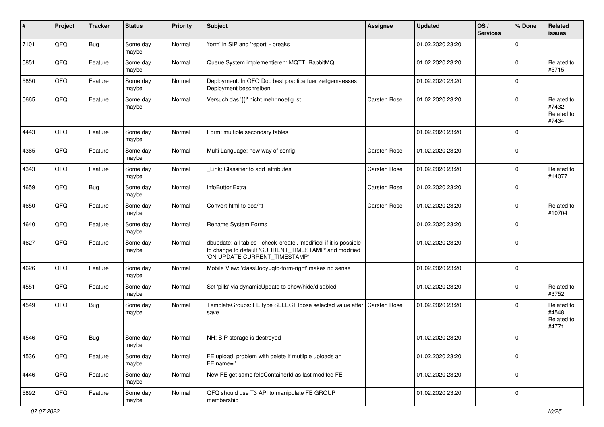| #    | Project | <b>Tracker</b> | <b>Status</b>     | <b>Priority</b> | <b>Subject</b>                                                                                                                                                | <b>Assignee</b>     | <b>Updated</b>   | OS/<br><b>Services</b> | % Done      | Related<br>issues                           |
|------|---------|----------------|-------------------|-----------------|---------------------------------------------------------------------------------------------------------------------------------------------------------------|---------------------|------------------|------------------------|-------------|---------------------------------------------|
| 7101 | QFQ     | <b>Bug</b>     | Some day<br>maybe | Normal          | 'form' in SIP and 'report' - breaks                                                                                                                           |                     | 01.02.2020 23:20 |                        | 0           |                                             |
| 5851 | QFQ     | Feature        | Some day<br>maybe | Normal          | Queue System implementieren: MQTT, RabbitMQ                                                                                                                   |                     | 01.02.2020 23:20 |                        | $\Omega$    | Related to<br>#5715                         |
| 5850 | QFQ     | Feature        | Some day<br>maybe | Normal          | Deployment: In QFQ Doc best practice fuer zeitgemaesses<br>Deployment beschreiben                                                                             |                     | 01.02.2020 23:20 |                        | 0           |                                             |
| 5665 | QFQ     | Feature        | Some day<br>maybe | Normal          | Versuch das '{{!' nicht mehr noetig ist.                                                                                                                      | <b>Carsten Rose</b> | 01.02.2020 23:20 |                        | $\Omega$    | Related to<br>#7432,<br>Related to<br>#7434 |
| 4443 | QFQ     | Feature        | Some day<br>maybe | Normal          | Form: multiple secondary tables                                                                                                                               |                     | 01.02.2020 23:20 |                        | 0           |                                             |
| 4365 | QFQ     | Feature        | Some day<br>maybe | Normal          | Multi Language: new way of config                                                                                                                             | Carsten Rose        | 01.02.2020 23:20 |                        | $\mathbf 0$ |                                             |
| 4343 | QFQ     | Feature        | Some day<br>maybe | Normal          | Link: Classifier to add 'attributes'                                                                                                                          | Carsten Rose        | 01.02.2020 23:20 |                        | 0           | Related to<br>#14077                        |
| 4659 | QFQ     | <b>Bug</b>     | Some day<br>maybe | Normal          | infoButtonExtra                                                                                                                                               | Carsten Rose        | 01.02.2020 23:20 |                        | $\Omega$    |                                             |
| 4650 | QFQ     | Feature        | Some day<br>maybe | Normal          | Convert html to doc/rtf                                                                                                                                       | <b>Carsten Rose</b> | 01.02.2020 23:20 |                        | 0           | Related to<br>#10704                        |
| 4640 | QFQ     | Feature        | Some day<br>maybe | Normal          | Rename System Forms                                                                                                                                           |                     | 01.02.2020 23:20 |                        | $\Omega$    |                                             |
| 4627 | QFQ     | Feature        | Some day<br>maybe | Normal          | dbupdate: all tables - check 'create', 'modified' if it is possible<br>to change to default 'CURRENT_TIMESTAMP' and modified<br>'ON UPDATE CURRENT_TIMESTAMP' |                     | 01.02.2020 23:20 |                        | 0           |                                             |
| 4626 | QFQ     | Feature        | Some day<br>maybe | Normal          | Mobile View: 'classBody=qfq-form-right' makes no sense                                                                                                        |                     | 01.02.2020 23:20 |                        | $\mathbf 0$ |                                             |
| 4551 | QFQ     | Feature        | Some day<br>maybe | Normal          | Set 'pills' via dynamicUpdate to show/hide/disabled                                                                                                           |                     | 01.02.2020 23:20 |                        | 0           | Related to<br>#3752                         |
| 4549 | QFQ     | <b>Bug</b>     | Some day<br>maybe | Normal          | TemplateGroups: FE.type SELECT loose selected value after   Carsten Rose<br>save                                                                              |                     | 01.02.2020 23:20 |                        | $\Omega$    | Related to<br>#4548,<br>Related to<br>#4771 |
| 4546 | QFQ     | <b>Bug</b>     | Some day<br>maybe | Normal          | NH: SIP storage is destroyed                                                                                                                                  |                     | 01.02.2020 23:20 |                        | $\mathbf 0$ |                                             |
| 4536 | QFG     | Feature        | Some day<br>maybe | Normal          | FE upload: problem with delete if mutliple uploads an<br>FE.name="                                                                                            |                     | 01.02.2020 23:20 |                        | $\mathbf 0$ |                                             |
| 4446 | QFQ     | Feature        | Some day<br>maybe | Normal          | New FE get same feldContainerId as last modifed FE                                                                                                            |                     | 01.02.2020 23:20 |                        | $\mathbf 0$ |                                             |
| 5892 | QFG     | Feature        | Some day<br>maybe | Normal          | QFQ should use T3 API to manipulate FE GROUP<br>membership                                                                                                    |                     | 01.02.2020 23:20 |                        | 0           |                                             |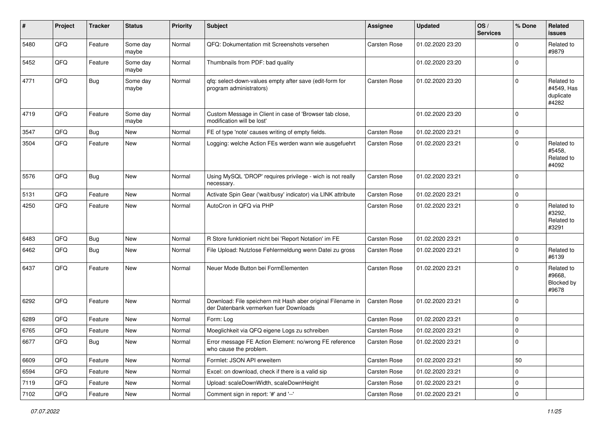| ∦    | Project        | <b>Tracker</b> | <b>Status</b>     | <b>Priority</b> | <b>Subject</b>                                                                                        | <b>Assignee</b>     | <b>Updated</b>   | OS/<br><b>Services</b> | % Done              | Related<br>issues                              |
|------|----------------|----------------|-------------------|-----------------|-------------------------------------------------------------------------------------------------------|---------------------|------------------|------------------------|---------------------|------------------------------------------------|
| 5480 | QFQ            | Feature        | Some day<br>maybe | Normal          | QFQ: Dokumentation mit Screenshots versehen                                                           | Carsten Rose        | 01.02.2020 23:20 |                        | 0                   | Related to<br>#9879                            |
| 5452 | QFQ            | Feature        | Some day<br>maybe | Normal          | Thumbnails from PDF: bad quality                                                                      |                     | 01.02.2020 23:20 |                        | $\mathbf 0$         |                                                |
| 4771 | QFQ            | Bug            | Some day<br>maybe | Normal          | qfq: select-down-values empty after save (edit-form for<br>program administrators)                    | Carsten Rose        | 01.02.2020 23:20 |                        | 0                   | Related to<br>#4549, Has<br>duplicate<br>#4282 |
| 4719 | QFQ            | Feature        | Some day<br>maybe | Normal          | Custom Message in Client in case of 'Browser tab close,<br>modification will be lost'                 |                     | 01.02.2020 23:20 |                        | 0                   |                                                |
| 3547 | QFQ            | Bug            | New               | Normal          | FE of type 'note' causes writing of empty fields.                                                     | Carsten Rose        | 01.02.2020 23:21 |                        | 0                   |                                                |
| 3504 | QFQ            | Feature        | New               | Normal          | Logging: welche Action FEs werden wann wie ausgefuehrt                                                | Carsten Rose        | 01.02.2020 23:21 |                        | 0                   | Related to<br>#5458,<br>Related to<br>#4092    |
| 5576 | QFQ            | <b>Bug</b>     | New               | Normal          | Using MySQL 'DROP' requires privilege - wich is not really<br>necessary.                              | <b>Carsten Rose</b> | 01.02.2020 23:21 |                        | $\mathbf 0$         |                                                |
| 5131 | QFQ            | Feature        | <b>New</b>        | Normal          | Activate Spin Gear ('wait/busy' indicator) via LINK attribute                                         | Carsten Rose        | 01.02.2020 23:21 |                        | 0                   |                                                |
| 4250 | QFQ            | Feature        | New               | Normal          | AutoCron in QFQ via PHP                                                                               | <b>Carsten Rose</b> | 01.02.2020 23:21 |                        | 0                   | Related to<br>#3292,<br>Related to<br>#3291    |
| 6483 | QFQ            | <b>Bug</b>     | New               | Normal          | R Store funktioniert nicht bei 'Report Notation' im FE                                                | <b>Carsten Rose</b> | 01.02.2020 23:21 |                        | 0                   |                                                |
| 6462 | QFQ            | <b>Bug</b>     | New               | Normal          | File Upload: Nutzlose Fehlermeldung wenn Datei zu gross                                               | Carsten Rose        | 01.02.2020 23:21 |                        | 0                   | Related to<br>#6139                            |
| 6437 | QFQ            | Feature        | New               | Normal          | Neuer Mode Button bei FormElementen                                                                   | Carsten Rose        | 01.02.2020 23:21 |                        | 0                   | Related to<br>#9668.<br>Blocked by<br>#9678    |
| 6292 | QFQ            | Feature        | New               | Normal          | Download: File speichern mit Hash aber original Filename in<br>der Datenbank vermerken fuer Downloads | Carsten Rose        | 01.02.2020 23:21 |                        | $\mathbf 0$         |                                                |
| 6289 | QFQ            | Feature        | New               | Normal          | Form: Log                                                                                             | Carsten Rose        | 01.02.2020 23:21 |                        | $\mathbf 0$         |                                                |
| 6765 | QFQ            | Feature        | New               | Normal          | Moeglichkeit via QFQ eigene Logs zu schreiben                                                         | Carsten Rose        | 01.02.2020 23:21 |                        | 0                   |                                                |
| 6677 | $\mathsf{QFQ}$ | <b>Bug</b>     | New               | Normal          | Error message FE Action Element: no/wrong FE reference<br>who cause the problem.                      | Carsten Rose        | 01.02.2020 23:21 |                        | 0                   |                                                |
| 6609 | QFQ            | Feature        | New               | Normal          | Formlet: JSON API erweitern                                                                           | Carsten Rose        | 01.02.2020 23:21 |                        | 50                  |                                                |
| 6594 | QFQ            | Feature        | New               | Normal          | Excel: on download, check if there is a valid sip                                                     | Carsten Rose        | 01.02.2020 23:21 |                        | $\mathbf 0$         |                                                |
| 7119 | QFQ            | Feature        | New               | Normal          | Upload: scaleDownWidth, scaleDownHeight                                                               | Carsten Rose        | 01.02.2020 23:21 |                        | 0                   |                                                |
| 7102 | QFQ            | Feature        | New               | Normal          | Comment sign in report: '#' and '--'                                                                  | Carsten Rose        | 01.02.2020 23:21 |                        | $\mathsf{O}\xspace$ |                                                |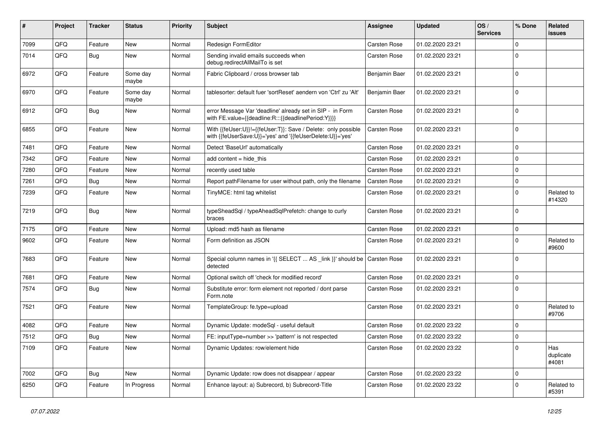| $\vert$ # | Project | <b>Tracker</b> | <b>Status</b>     | <b>Priority</b> | <b>Subject</b>                                                                                                             | Assignee            | <b>Updated</b>   | OS/<br><b>Services</b> | % Done         | Related<br>issues         |
|-----------|---------|----------------|-------------------|-----------------|----------------------------------------------------------------------------------------------------------------------------|---------------------|------------------|------------------------|----------------|---------------------------|
| 7099      | QFQ     | Feature        | New               | Normal          | Redesign FormEditor                                                                                                        | <b>Carsten Rose</b> | 01.02.2020 23:21 |                        | $\mathbf 0$    |                           |
| 7014      | QFQ     | Bug            | New               | Normal          | Sending invalid emails succeeds when<br>debug.redirectAllMailTo is set                                                     | Carsten Rose        | 01.02.2020 23:21 |                        | $\mathbf 0$    |                           |
| 6972      | QFQ     | Feature        | Some day<br>maybe | Normal          | Fabric Clipboard / cross browser tab                                                                                       | Benjamin Baer       | 01.02.2020 23:21 |                        | $\mathbf 0$    |                           |
| 6970      | QFQ     | Feature        | Some day<br>maybe | Normal          | tablesorter: default fuer 'sortReset' aendern von 'Ctrl' zu 'Alt'                                                          | Benjamin Baer       | 01.02.2020 23:21 |                        | $\Omega$       |                           |
| 6912      | QFQ     | <b>Bug</b>     | New               | Normal          | error Message Var 'deadline' already set in SIP - in Form<br>with FE.value={{deadline:R:::{{deadlinePeriod:Y}}}}           | Carsten Rose        | 01.02.2020 23:21 |                        | $\Omega$       |                           |
| 6855      | QFQ     | Feature        | New               | Normal          | With {{feUser:U}}!={{feUser:T}}: Save / Delete: only possible<br>with {{feUserSave:U}}='yes' and '{{feUserDelete:U}}='yes' | <b>Carsten Rose</b> | 01.02.2020 23:21 |                        | $\mathbf 0$    |                           |
| 7481      | QFQ     | Feature        | <b>New</b>        | Normal          | Detect 'BaseUrl' automatically                                                                                             | <b>Carsten Rose</b> | 01.02.2020 23:21 |                        | $\mathbf 0$    |                           |
| 7342      | QFQ     | Feature        | <b>New</b>        | Normal          | add content = hide this                                                                                                    | <b>Carsten Rose</b> | 01.02.2020 23:21 |                        | $\overline{0}$ |                           |
| 7280      | QFQ     | Feature        | <b>New</b>        | Normal          | recently used table                                                                                                        | <b>Carsten Rose</b> | 01.02.2020 23:21 |                        | $\mathbf 0$    |                           |
| 7261      | QFQ     | <b>Bug</b>     | New               | Normal          | Report pathFilename for user without path, only the filename                                                               | <b>Carsten Rose</b> | 01.02.2020 23:21 |                        | 0              |                           |
| 7239      | QFQ     | Feature        | New               | Normal          | TinyMCE: html tag whitelist                                                                                                | <b>Carsten Rose</b> | 01.02.2020 23:21 |                        | $\mathbf 0$    | Related to<br>#14320      |
| 7219      | QFQ     | <b>Bug</b>     | New               | Normal          | typeSheadSql / typeAheadSqlPrefetch: change to curly<br>braces                                                             | Carsten Rose        | 01.02.2020 23:21 |                        | $\Omega$       |                           |
| 7175      | QFQ     | Feature        | <b>New</b>        | Normal          | Upload: md5 hash as filename                                                                                               | <b>Carsten Rose</b> | 01.02.2020 23:21 |                        | 0              |                           |
| 9602      | QFQ     | Feature        | <b>New</b>        | Normal          | Form definition as JSON                                                                                                    | <b>Carsten Rose</b> | 01.02.2020 23:21 |                        | $\Omega$       | Related to<br>#9600       |
| 7683      | QFQ     | Feature        | <b>New</b>        | Normal          | Special column names in '{{ SELECT  AS _link }}' should be   Carsten Rose<br>detected                                      |                     | 01.02.2020 23:21 |                        | $\overline{0}$ |                           |
| 7681      | QFQ     | Feature        | New               | Normal          | Optional switch off 'check for modified record'                                                                            | Carsten Rose        | 01.02.2020 23:21 |                        | $\mathbf 0$    |                           |
| 7574      | QFQ     | <b>Bug</b>     | New               | Normal          | Substitute error: form element not reported / dont parse<br>Form.note                                                      | Carsten Rose        | 01.02.2020 23:21 |                        | 0              |                           |
| 7521      | QFQ     | Feature        | New               | Normal          | TemplateGroup: fe.type=upload                                                                                              | Carsten Rose        | 01.02.2020 23:21 |                        | $\Omega$       | Related to<br>#9706       |
| 4082      | QFQ     | Feature        | <b>New</b>        | Normal          | Dynamic Update: modeSgl - useful default                                                                                   | <b>Carsten Rose</b> | 01.02.2020 23:22 |                        | 0              |                           |
| 7512      | QFQ     | <b>Bug</b>     | <b>New</b>        | Normal          | FE: inputType=number >> 'pattern' is not respected                                                                         | Carsten Rose        | 01.02.2020 23:22 |                        | $\mathbf 0$    |                           |
| 7109      | QFQ     | Feature        | <b>New</b>        | Normal          | Dynamic Updates: row/element hide                                                                                          | <b>Carsten Rose</b> | 01.02.2020 23:22 |                        | $\mathbf 0$    | Has<br>duplicate<br>#4081 |
| 7002      | QFQ     | <b>Bug</b>     | New               | Normal          | Dynamic Update: row does not disappear / appear                                                                            | <b>Carsten Rose</b> | 01.02.2020 23:22 |                        | $\mathbf 0$    |                           |
| 6250      | QFQ     | Feature        | In Progress       | Normal          | Enhance layout: a) Subrecord, b) Subrecord-Title                                                                           | Carsten Rose        | 01.02.2020 23:22 |                        | $\Omega$       | Related to<br>#5391       |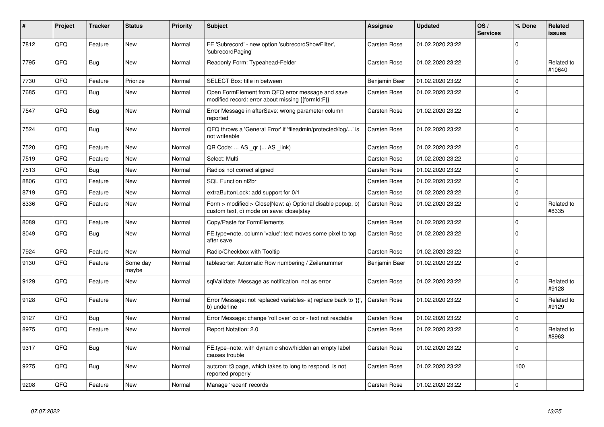| #    | Project | <b>Tracker</b> | <b>Status</b>     | <b>Priority</b> | Subject                                                                                                | Assignee      | <b>Updated</b>   | OS/<br><b>Services</b> | % Done      | Related<br>issues    |
|------|---------|----------------|-------------------|-----------------|--------------------------------------------------------------------------------------------------------|---------------|------------------|------------------------|-------------|----------------------|
| 7812 | QFQ     | Feature        | <b>New</b>        | Normal          | FE 'Subrecord' - new option 'subrecordShowFilter',<br>'subrecordPaging'                                | Carsten Rose  | 01.02.2020 23:22 |                        | $\Omega$    |                      |
| 7795 | QFQ     | <b>Bug</b>     | New               | Normal          | Readonly Form: Typeahead-Felder                                                                        | Carsten Rose  | 01.02.2020 23:22 |                        | $\mathbf 0$ | Related to<br>#10640 |
| 7730 | QFQ     | Feature        | Priorize          | Normal          | SELECT Box: title in between                                                                           | Benjamin Baer | 01.02.2020 23:22 |                        | $\mathbf 0$ |                      |
| 7685 | QFQ     | <b>Bug</b>     | <b>New</b>        | Normal          | Open FormElement from QFQ error message and save<br>modified record: error about missing {{formId:F}}  | Carsten Rose  | 01.02.2020 23:22 |                        | $\Omega$    |                      |
| 7547 | QFQ     | <b>Bug</b>     | New               | Normal          | Error Message in afterSave: wrong parameter column<br>reported                                         | Carsten Rose  | 01.02.2020 23:22 |                        | $\Omega$    |                      |
| 7524 | QFQ     | <b>Bug</b>     | <b>New</b>        | Normal          | QFQ throws a 'General Error' if 'fileadmin/protected/log/' is<br>not writeable                         | Carsten Rose  | 01.02.2020 23:22 |                        | $\Omega$    |                      |
| 7520 | QFQ     | Feature        | <b>New</b>        | Normal          | QR Code:  AS _qr ( AS _link)                                                                           | Carsten Rose  | 01.02.2020 23:22 |                        | $\Omega$    |                      |
| 7519 | QFQ     | Feature        | New               | Normal          | Select: Multi                                                                                          | Carsten Rose  | 01.02.2020 23:22 |                        | $\Omega$    |                      |
| 7513 | QFQ     | Bug            | <b>New</b>        | Normal          | Radios not correct aligned                                                                             | Carsten Rose  | 01.02.2020 23:22 |                        | $\Omega$    |                      |
| 8806 | QFQ     | Feature        | <b>New</b>        | Normal          | SQL Function nl2br                                                                                     | Carsten Rose  | 01.02.2020 23:22 |                        | $\Omega$    |                      |
| 8719 | QFQ     | Feature        | New               | Normal          | extraButtonLock: add support for 0/1                                                                   | Carsten Rose  | 01.02.2020 23:22 |                        | $\mathbf 0$ |                      |
| 8336 | QFQ     | Feature        | New               | Normal          | Form > modified > Close New: a) Optional disable popup, b)<br>custom text, c) mode on save: closelstay | Carsten Rose  | 01.02.2020 23:22 |                        | $\Omega$    | Related to<br>#8335  |
| 8089 | QFQ     | Feature        | <b>New</b>        | Normal          | Copy/Paste for FormElements                                                                            | Carsten Rose  | 01.02.2020 23:22 |                        | $\Omega$    |                      |
| 8049 | QFQ     | <b>Bug</b>     | New               | Normal          | FE.type=note, column 'value': text moves some pixel to top<br>after save                               | Carsten Rose  | 01.02.2020 23:22 |                        | $\Omega$    |                      |
| 7924 | QFQ     | Feature        | <b>New</b>        | Normal          | Radio/Checkbox with Tooltip                                                                            | Carsten Rose  | 01.02.2020 23:22 |                        | $\mathbf 0$ |                      |
| 9130 | QFQ     | Feature        | Some day<br>maybe | Normal          | tablesorter: Automatic Row numbering / Zeilenummer                                                     | Benjamin Baer | 01.02.2020 23:22 |                        | $\Omega$    |                      |
| 9129 | QFQ     | Feature        | <b>New</b>        | Normal          | sqlValidate: Message as notification, not as error                                                     | Carsten Rose  | 01.02.2020 23:22 |                        | $\Omega$    | Related to<br>#9128  |
| 9128 | QFQ     | Feature        | <b>New</b>        | Normal          | Error Message: not replaced variables- a) replace back to '{',<br>b) underline                         | Carsten Rose  | 01.02.2020 23:22 |                        | $\Omega$    | Related to<br>#9129  |
| 9127 | QFQ     | Bug            | <b>New</b>        | Normal          | Error Message: change 'roll over' color - text not readable                                            | Carsten Rose  | 01.02.2020 23:22 |                        | $\Omega$    |                      |
| 8975 | QFQ     | Feature        | New               | Normal          | Report Notation: 2.0                                                                                   | Carsten Rose  | 01.02.2020 23:22 |                        | $\mathbf 0$ | Related to<br>#8963  |
| 9317 | QFQ     | Bug            | New               | Normal          | FE.type=note: with dynamic show/hidden an empty label<br>causes trouble                                | Carsten Rose  | 01.02.2020 23:22 |                        | $\Omega$    |                      |
| 9275 | QFQ     | <b>Bug</b>     | New               | Normal          | auteron: t3 page, which takes to long to respond, is not<br>reported properly                          | Carsten Rose  | 01.02.2020 23:22 |                        | 100         |                      |
| 9208 | QFQ     | Feature        | New               | Normal          | Manage 'recent' records                                                                                | Carsten Rose  | 01.02.2020 23:22 |                        | $\mathbf 0$ |                      |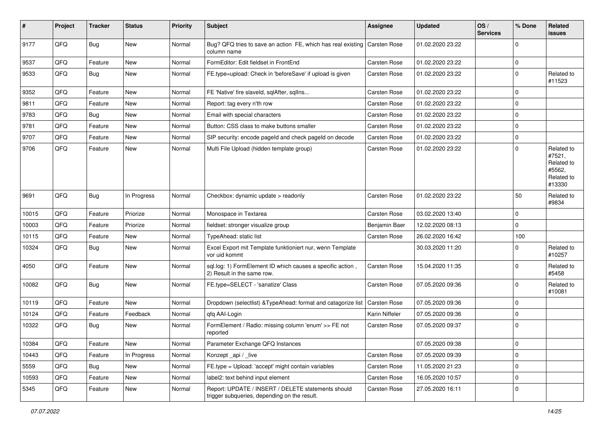| #     | Project | <b>Tracker</b> | <b>Status</b> | <b>Priority</b> | <b>Subject</b>                                                                                     | Assignee            | <b>Updated</b>   | OS/<br><b>Services</b> | % Done      | Related<br>issues                                                    |
|-------|---------|----------------|---------------|-----------------|----------------------------------------------------------------------------------------------------|---------------------|------------------|------------------------|-------------|----------------------------------------------------------------------|
| 9177  | QFQ     | <b>Bug</b>     | New           | Normal          | Bug? QFQ tries to save an action FE, which has real existing<br>column name                        | Carsten Rose        | 01.02.2020 23:22 |                        | $\mathbf 0$ |                                                                      |
| 9537  | QFQ     | Feature        | New           | Normal          | FormEditor: Edit fieldset in FrontEnd                                                              | Carsten Rose        | 01.02.2020 23:22 |                        | 0           |                                                                      |
| 9533  | QFQ     | Bug            | New           | Normal          | FE.type=upload: Check in 'beforeSave' if upload is given                                           | Carsten Rose        | 01.02.2020 23:22 |                        | $\mathbf 0$ | Related to<br>#11523                                                 |
| 9352  | QFQ     | Feature        | <b>New</b>    | Normal          | FE 'Native' fire slaveld, sqlAfter, sqlIns                                                         | Carsten Rose        | 01.02.2020 23:22 |                        | $\mathbf 0$ |                                                                      |
| 9811  | QFQ     | Feature        | New           | Normal          | Report: tag every n'th row                                                                         | Carsten Rose        | 01.02.2020 23:22 |                        | 0           |                                                                      |
| 9783  | QFQ     | Bug            | New           | Normal          | Email with special characters                                                                      | Carsten Rose        | 01.02.2020 23:22 |                        | 0           |                                                                      |
| 9781  | QFQ     | Feature        | New           | Normal          | Button: CSS class to make buttons smaller                                                          | Carsten Rose        | 01.02.2020 23:22 |                        | 0           |                                                                      |
| 9707  | QFQ     | Feature        | <b>New</b>    | Normal          | SIP security: encode pageld and check pageld on decode                                             | Carsten Rose        | 01.02.2020 23:22 |                        | 0           |                                                                      |
| 9706  | QFQ     | Feature        | New           | Normal          | Multi File Upload (hidden template group)                                                          | Carsten Rose        | 01.02.2020 23:22 |                        | $\mathbf 0$ | Related to<br>#7521,<br>Related to<br>#5562,<br>Related to<br>#13330 |
| 9691  | QFQ     | Bug            | In Progress   | Normal          | Checkbox: dynamic update > readonly                                                                | <b>Carsten Rose</b> | 01.02.2020 23:22 |                        | 50          | Related to<br>#9834                                                  |
| 10015 | QFQ     | Feature        | Priorize      | Normal          | Monospace in Textarea                                                                              | Carsten Rose        | 03.02.2020 13:40 |                        | $\mathbf 0$ |                                                                      |
| 10003 | QFQ     | Feature        | Priorize      | Normal          | fieldset: stronger visualize group                                                                 | Benjamin Baer       | 12.02.2020 08:13 |                        | $\mathbf 0$ |                                                                      |
| 10115 | QFQ     | Feature        | New           | Normal          | TypeAhead: static list                                                                             | Carsten Rose        | 26.02.2020 16:42 |                        | 100         |                                                                      |
| 10324 | QFQ     | <b>Bug</b>     | New           | Normal          | Excel Export mit Template funktioniert nur, wenn Template<br>vor uid kommt                         |                     | 30.03.2020 11:20 |                        | 0           | Related to<br>#10257                                                 |
| 4050  | QFQ     | Feature        | New           | Normal          | sql.log: 1) FormElement ID which causes a specific action,<br>2) Result in the same row.           | Carsten Rose        | 15.04.2020 11:35 |                        | $\mathbf 0$ | Related to<br>#5458                                                  |
| 10082 | QFQ     | <b>Bug</b>     | New           | Normal          | FE.type=SELECT - 'sanatize' Class                                                                  | Carsten Rose        | 07.05.2020 09:36 |                        | 0           | Related to<br>#10081                                                 |
| 10119 | QFQ     | Feature        | New           | Normal          | Dropdown (selectlist) & TypeAhead: format and catagorize list                                      | Carsten Rose        | 07.05.2020 09:36 |                        | 0           |                                                                      |
| 10124 | QFQ     | Feature        | Feedback      | Normal          | qfq AAI-Login                                                                                      | Karin Niffeler      | 07.05.2020 09:36 |                        | 0           |                                                                      |
| 10322 | QFQ     | <b>Bug</b>     | New           | Normal          | FormElement / Radio: missing column 'enum' >> FE not<br>reported                                   | Carsten Rose        | 07.05.2020 09:37 |                        | $\mathbf 0$ |                                                                      |
| 10384 | QFQ     | Feature        | New           | Normal          | Parameter Exchange QFQ Instances                                                                   |                     | 07.05.2020 09:38 |                        | 0           |                                                                      |
| 10443 | QFQ     | Feature        | In Progress   | Normal          | Konzept_api / _live                                                                                | Carsten Rose        | 07.05.2020 09:39 |                        | 0           |                                                                      |
| 5559  | QFQ     | Bug            | New           | Normal          | FE.type = Upload: 'accept' might contain variables                                                 | Carsten Rose        | 11.05.2020 21:23 |                        | 0           |                                                                      |
| 10593 | QFQ     | Feature        | New           | Normal          | label2: text behind input element                                                                  | Carsten Rose        | 16.05.2020 10:57 |                        | 0           |                                                                      |
| 5345  | QFQ     | Feature        | New           | Normal          | Report: UPDATE / INSERT / DELETE statements should<br>trigger subqueries, depending on the result. | Carsten Rose        | 27.05.2020 16:11 |                        | 0           |                                                                      |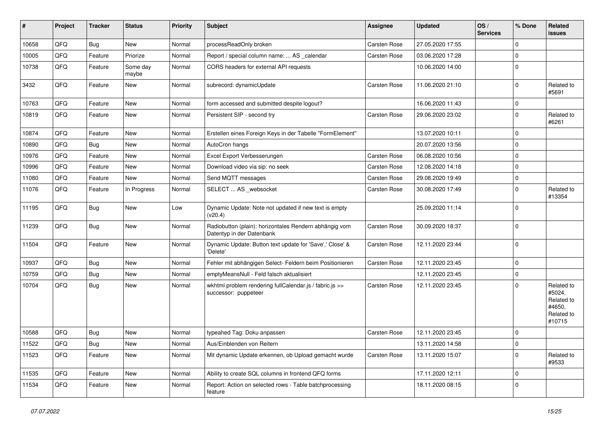| #     | Project | <b>Tracker</b> | <b>Status</b>     | <b>Priority</b> | <b>Subject</b>                                                                      | <b>Assignee</b>     | <b>Updated</b>   | OS/<br><b>Services</b> | % Done      | Related<br>issues                                                    |
|-------|---------|----------------|-------------------|-----------------|-------------------------------------------------------------------------------------|---------------------|------------------|------------------------|-------------|----------------------------------------------------------------------|
| 10658 | QFQ     | Bug            | New               | Normal          | processReadOnly broken                                                              | Carsten Rose        | 27.05.2020 17:55 |                        | 0           |                                                                      |
| 10005 | QFQ     | Feature        | Priorize          | Normal          | Report / special column name:  AS _calendar                                         | <b>Carsten Rose</b> | 03.06.2020 17:28 |                        | $\mathbf 0$ |                                                                      |
| 10738 | QFQ     | Feature        | Some day<br>maybe | Normal          | CORS headers for external API requests                                              |                     | 10.06.2020 14:00 |                        | 0           |                                                                      |
| 3432  | QFQ     | Feature        | New               | Normal          | subrecord: dynamicUpdate                                                            | <b>Carsten Rose</b> | 11.06.2020 21:10 |                        | $\mathbf 0$ | Related to<br>#5691                                                  |
| 10763 | QFQ     | Feature        | New               | Normal          | form accessed and submitted despite logout?                                         |                     | 16.06.2020 11:43 |                        | 0           |                                                                      |
| 10819 | QFQ     | Feature        | New               | Normal          | Persistent SIP - second try                                                         | Carsten Rose        | 29.06.2020 23:02 |                        | 0           | Related to<br>#6261                                                  |
| 10874 | QFQ     | Feature        | New               | Normal          | Erstellen eines Foreign Keys in der Tabelle "FormElement"                           |                     | 13.07.2020 10:11 |                        | 0           |                                                                      |
| 10890 | QFQ     | <b>Bug</b>     | New               | Normal          | AutoCron hangs                                                                      |                     | 20.07.2020 13:56 |                        | $\mathbf 0$ |                                                                      |
| 10976 | QFQ     | Feature        | New               | Normal          | Excel Export Verbesserungen                                                         | Carsten Rose        | 06.08.2020 10:56 |                        | 0           |                                                                      |
| 10996 | QFQ     | Feature        | New               | Normal          | Download video via sip: no seek                                                     | Carsten Rose        | 12.08.2020 14:18 |                        | $\mathbf 0$ |                                                                      |
| 11080 | QFQ     | Feature        | New               | Normal          | Send MQTT messages                                                                  | Carsten Rose        | 29.08.2020 19:49 |                        | 0           |                                                                      |
| 11076 | QFQ     | Feature        | In Progress       | Normal          | SELECT  AS _websocket                                                               | <b>Carsten Rose</b> | 30.08.2020 17:49 |                        | 0           | Related to<br>#13354                                                 |
| 11195 | QFQ     | Bug            | <b>New</b>        | Low             | Dynamic Update: Note not updated if new text is empty<br>(v20.4)                    |                     | 25.09.2020 11:14 |                        | $\mathbf 0$ |                                                                      |
| 11239 | QFQ     | Bug            | New               | Normal          | Radiobutton (plain): horizontales Rendern abhängig vom<br>Datentyp in der Datenbank | Carsten Rose        | 30.09.2020 18:37 |                        | $\mathbf 0$ |                                                                      |
| 11504 | QFQ     | Feature        | New               | Normal          | Dynamic Update: Button text update for 'Save',' Close' &<br>'Delete'                | Carsten Rose        | 12.11.2020 23:44 |                        | $\mathbf 0$ |                                                                      |
| 10937 | QFQ     | <b>Bug</b>     | New               | Normal          | Fehler mit abhängigen Select- Feldern beim Positionieren                            | Carsten Rose        | 12.11.2020 23:45 |                        | $\mathbf 0$ |                                                                      |
| 10759 | QFQ     | <b>Bug</b>     | New               | Normal          | emptyMeansNull - Feld falsch aktualisiert                                           |                     | 12.11.2020 23:45 |                        | 0           |                                                                      |
| 10704 | QFQ     | Bug            | New               | Normal          | wkhtml problem rendering fullCalendar.js / fabric.js >><br>successor: puppeteer     | Carsten Rose        | 12.11.2020 23:45 |                        | $\mathbf 0$ | Related to<br>#5024,<br>Related to<br>#4650,<br>Related to<br>#10715 |
| 10588 | QFQ     | <b>Bug</b>     | New               | Normal          | typeahed Tag: Doku anpassen                                                         | Carsten Rose        | 12.11.2020 23:45 |                        | $\mathbf 0$ |                                                                      |
| 11522 | QFQ     | <b>Bug</b>     | New               | Normal          | Aus/Einblenden von Reitern                                                          |                     | 13.11.2020 14:58 |                        | 0           |                                                                      |
| 11523 | QFG     | Feature        | New               | Normal          | Mit dynamic Update erkennen, ob Upload gemacht wurde                                | Carsten Rose        | 13.11.2020 15:07 |                        | 0           | Related to<br>#9533                                                  |
| 11535 | QFQ     | Feature        | New               | Normal          | Ability to create SQL columns in frontend QFQ forms                                 |                     | 17.11.2020 12:11 |                        | 0           |                                                                      |
| 11534 | QFQ     | Feature        | New               | Normal          | Report: Action on selected rows - Table batchprocessing<br>feature                  |                     | 18.11.2020 08:15 |                        | 0           |                                                                      |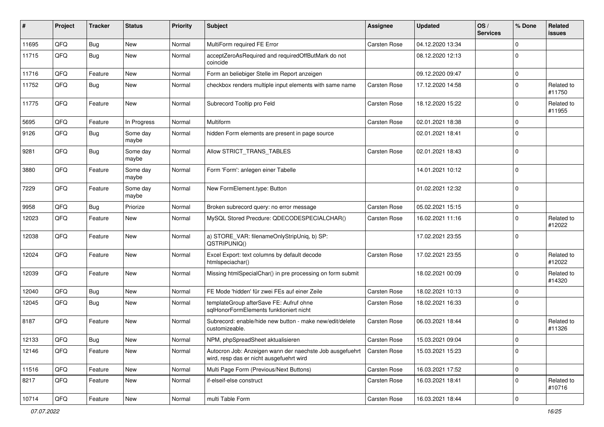| ∦     | Project        | <b>Tracker</b> | <b>Status</b>     | <b>Priority</b> | <b>Subject</b>                                                                                       | <b>Assignee</b>     | <b>Updated</b>   | OS/<br><b>Services</b> | % Done      | Related<br>issues    |
|-------|----------------|----------------|-------------------|-----------------|------------------------------------------------------------------------------------------------------|---------------------|------------------|------------------------|-------------|----------------------|
| 11695 | QFQ            | <b>Bug</b>     | <b>New</b>        | Normal          | MultiForm required FE Error                                                                          | <b>Carsten Rose</b> | 04.12.2020 13:34 |                        | $\Omega$    |                      |
| 11715 | QFQ            | Bug            | New               | Normal          | acceptZeroAsRequired and requiredOffButMark do not<br>coincide                                       |                     | 08.12.2020 12:13 |                        | $\Omega$    |                      |
| 11716 | QFQ            | Feature        | <b>New</b>        | Normal          | Form an beliebiger Stelle im Report anzeigen                                                         |                     | 09.12.2020 09:47 |                        | $\Omega$    |                      |
| 11752 | QFQ            | Bug            | New               | Normal          | checkbox renders multiple input elements with same name                                              | Carsten Rose        | 17.12.2020 14:58 |                        | $\Omega$    | Related to<br>#11750 |
| 11775 | QFQ            | Feature        | New               | Normal          | Subrecord Tooltip pro Feld                                                                           | Carsten Rose        | 18.12.2020 15:22 |                        | $\Omega$    | Related to<br>#11955 |
| 5695  | QFQ            | Feature        | In Progress       | Normal          | <b>Multiform</b>                                                                                     | Carsten Rose        | 02.01.2021 18:38 |                        | $\Omega$    |                      |
| 9126  | QFQ            | Bug            | Some day<br>maybe | Normal          | hidden Form elements are present in page source                                                      |                     | 02.01.2021 18:41 |                        | $\Omega$    |                      |
| 9281  | QFQ            | <b>Bug</b>     | Some day<br>maybe | Normal          | Allow STRICT_TRANS_TABLES                                                                            | Carsten Rose        | 02.01.2021 18:43 |                        | $\Omega$    |                      |
| 3880  | QFQ            | Feature        | Some day<br>maybe | Normal          | Form 'Form': anlegen einer Tabelle                                                                   |                     | 14.01.2021 10:12 |                        | $\Omega$    |                      |
| 7229  | QFQ            | Feature        | Some day<br>maybe | Normal          | New FormElement.type: Button                                                                         |                     | 01.02.2021 12:32 |                        | $\Omega$    |                      |
| 9958  | QFQ            | Bug            | Priorize          | Normal          | Broken subrecord query: no error message                                                             | <b>Carsten Rose</b> | 05.02.2021 15:15 |                        | $\mathbf 0$ |                      |
| 12023 | QFQ            | Feature        | New               | Normal          | MySQL Stored Precdure: QDECODESPECIALCHAR()                                                          | Carsten Rose        | 16.02.2021 11:16 |                        | $\Omega$    | Related to<br>#12022 |
| 12038 | QFQ            | Feature        | New               | Normal          | a) STORE_VAR: filenameOnlyStripUniq, b) SP:<br>QSTRIPUNIQ()                                          |                     | 17.02.2021 23:55 |                        | $\Omega$    |                      |
| 12024 | QFQ            | Feature        | <b>New</b>        | Normal          | Excel Export: text columns by default decode<br>htmlspeciachar()                                     | Carsten Rose        | 17.02.2021 23:55 |                        | $\Omega$    | Related to<br>#12022 |
| 12039 | QFQ            | Feature        | New               | Normal          | Missing htmlSpecialChar() in pre processing on form submit                                           |                     | 18.02.2021 00:09 |                        | $\Omega$    | Related to<br>#14320 |
| 12040 | QFQ            | Bug            | New               | Normal          | FE Mode 'hidden' für zwei FEs auf einer Zeile                                                        | Carsten Rose        | 18.02.2021 10:13 |                        | $\Omega$    |                      |
| 12045 | QFQ            | <b>Bug</b>     | <b>New</b>        | Normal          | templateGroup afterSave FE: Aufruf ohne<br>sqlHonorFormElements funktioniert nicht                   | Carsten Rose        | 18.02.2021 16:33 |                        | $\Omega$    |                      |
| 8187  | QFQ            | Feature        | New               | Normal          | Subrecord: enable/hide new button - make new/edit/delete<br>customizeable.                           | Carsten Rose        | 06.03.2021 18:44 |                        | $\Omega$    | Related to<br>#11326 |
| 12133 | QFQ            | Bug            | New               | Normal          | NPM, phpSpreadSheet aktualisieren                                                                    | <b>Carsten Rose</b> | 15.03.2021 09:04 |                        | I٥          |                      |
| 12146 | QFQ            | Feature        | New               | Normal          | Autocron Job: Anzeigen wann der naechste Job ausgefuehrt<br>wird, resp das er nicht ausgefuehrt wird | Carsten Rose        | 15.03.2021 15:23 |                        | 0           |                      |
| 11516 | QFQ            | Feature        | New               | Normal          | Multi Page Form (Previous/Next Buttons)                                                              | Carsten Rose        | 16.03.2021 17:52 |                        | 0           |                      |
| 8217  | QFQ            | Feature        | New               | Normal          | if-elseif-else construct                                                                             | Carsten Rose        | 16.03.2021 18:41 |                        | $\mathbf 0$ | Related to<br>#10716 |
| 10714 | $\mathsf{QFQ}$ | Feature        | New               | Normal          | multi Table Form                                                                                     | Carsten Rose        | 16.03.2021 18:44 |                        | $\mathbf 0$ |                      |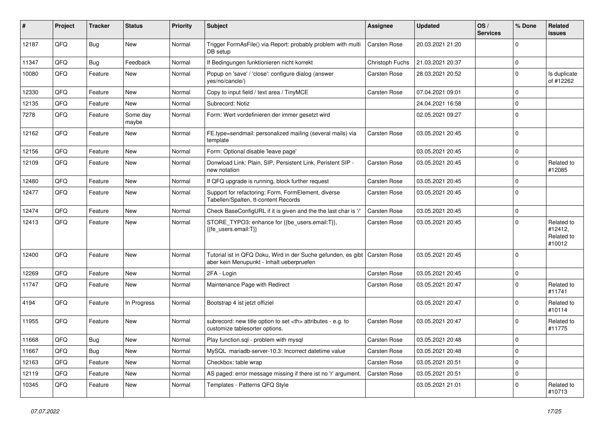| #     | Project | <b>Tracker</b> | <b>Status</b>     | <b>Priority</b> | Subject                                                                                                    | <b>Assignee</b>                                        | <b>Updated</b>      | OS/<br><b>Services</b> | % Done      | Related<br>issues                             |                      |
|-------|---------|----------------|-------------------|-----------------|------------------------------------------------------------------------------------------------------------|--------------------------------------------------------|---------------------|------------------------|-------------|-----------------------------------------------|----------------------|
| 12187 | QFQ     | Bug            | New               | Normal          | Trigger FormAsFile() via Report: probably problem with multi<br>DB setup                                   | Carsten Rose                                           | 20.03.2021 21:20    |                        | $\Omega$    |                                               |                      |
| 11347 | QFQ     | <b>Bug</b>     | Feedback          | Normal          | If Bedingungen funktionieren nicht korrekt                                                                 | Christoph Fuchs                                        | 21.03.2021 20:37    |                        | 0           |                                               |                      |
| 10080 | QFQ     | Feature        | New               | Normal          | Popup on 'save' / 'close': configure dialog (answer<br>yes/no/cancle/)                                     | Carsten Rose                                           | 28.03.2021 20:52    |                        | $\Omega$    | Is duplicate<br>of #12262                     |                      |
| 12330 | QFQ     | Feature        | New               | Normal          | Copy to input field / text area / TinyMCE                                                                  | Carsten Rose                                           | 07.04.2021 09:01    |                        | $\mathbf 0$ |                                               |                      |
| 12135 | QFQ     | Feature        | New               | Normal          | Subrecord: Notiz                                                                                           |                                                        | 24.04.2021 16:58    |                        | $\mathbf 0$ |                                               |                      |
| 7278  | QFQ     | Feature        | Some day<br>maybe | Normal          | Form: Wert vordefinieren der immer gesetzt wird                                                            |                                                        | 02.05.2021 09:27    |                        | $\Omega$    |                                               |                      |
| 12162 | QFQ     | Feature        | New               | Normal          | FE.type=sendmail: personalized mailing (several mails) via<br>template                                     | Carsten Rose                                           | 03.05.2021 20:45    |                        | $\Omega$    |                                               |                      |
| 12156 | QFQ     | Feature        | New               | Normal          | Form: Optional disable 'leave page'                                                                        |                                                        | 03.05.2021 20:45    |                        | $\mathbf 0$ |                                               |                      |
| 12109 | QFQ     | Feature        | New               | Normal          | Donwload Link: Plain, SIP, Persistent Link, Peristent SIP -<br>new notation                                | Carsten Rose                                           | 03.05.2021 20:45    |                        | $\Omega$    | Related to<br>#12085                          |                      |
| 12480 | QFQ     | Feature        | New               | Normal          | If QFQ upgrade is running, block further request                                                           | Carsten Rose                                           | 03.05.2021 20:45    |                        | $\Omega$    |                                               |                      |
| 12477 | QFQ     | Feature        | New               | Normal          | Support for refactoring: Form, FormElement, diverse<br>Tabellen/Spalten, tt-content Records                | Carsten Rose                                           | 03.05.2021 20:45    |                        | $\Omega$    |                                               |                      |
| 12474 | QFQ     | Feature        | New               | Normal          | Check BaseConfigURL if it is given and the the last char is '/'                                            | <b>Carsten Rose</b>                                    | 03.05.2021 20:45    |                        | $\mathbf 0$ |                                               |                      |
| 12413 | QFQ     | Feature        | New               | Normal          | STORE_TYPO3: enhance for {{be_users.email:T}},<br>{{fe_users.email:T}}                                     | Carsten Rose                                           | 03.05.2021 20:45    |                        | $\Omega$    | Related to<br>#12412,<br>Related to<br>#10012 |                      |
| 12400 | QFQ     | Feature        | New               | Normal          | Tutorial ist in QFQ Doku, Wird in der Suche gefunden, es gibt<br>aber kein Menupunkt - Inhalt ueberpruefen | <b>Carsten Rose</b>                                    | 03.05.2021 20:45    |                        | $\Omega$    |                                               |                      |
| 12269 | QFQ     | Feature        | New               | Normal          | 2FA - Login                                                                                                | Carsten Rose                                           | 03.05.2021 20:45    |                        | $\mathbf 0$ |                                               |                      |
| 11747 | QFQ     | Feature        | New               | Normal          | Maintenance Page with Redirect                                                                             | Carsten Rose                                           | 03.05.2021 20:47    |                        | $\Omega$    | Related to<br>#11741                          |                      |
| 4194  | QFQ     | Feature        | In Progress       | Normal          | Bootstrap 4 ist jetzt offiziel                                                                             |                                                        | 03.05.2021 20:47    |                        | $\Omega$    | Related to<br>#10114                          |                      |
| 11955 | QFQ     | Feature        | New               | Normal          | subrecord: new title option to set <th> attributes - e.g. to<br/>customize tablesorter options.</th>       | attributes - e.g. to<br>customize tablesorter options. | <b>Carsten Rose</b> | 03.05.2021 20:47       |             | $\Omega$                                      | Related to<br>#11775 |
| 11668 | QFQ     | Bug            | New               | Normal          | Play function.sql - problem with mysql                                                                     | Carsten Rose                                           | 03.05.2021 20:48    |                        | ۱n          |                                               |                      |
| 11667 | QFQ     | Bug            | New               | Normal          | MySQL mariadb-server-10.3: Incorrect datetime value                                                        | Carsten Rose                                           | 03.05.2021 20:48    |                        | 0           |                                               |                      |
| 12163 | QFQ     | Feature        | New               | Normal          | Checkbox: table wrap                                                                                       | Carsten Rose                                           | 03.05.2021 20:51    |                        | $\mathbf 0$ |                                               |                      |
| 12119 | QFQ     | Feature        | New               | Normal          | AS paged: error message missing if there ist no 'r' argument.                                              | Carsten Rose                                           | 03.05.2021 20:51    |                        | 0           |                                               |                      |
| 10345 | QFQ     | Feature        | New               | Normal          | Templates - Patterns QFQ Style                                                                             |                                                        | 03.05.2021 21:01    |                        | 0           | Related to<br>#10713                          |                      |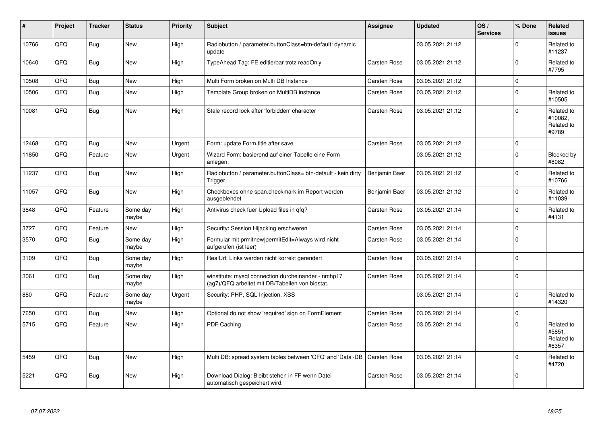| #     | Project | <b>Tracker</b> | <b>Status</b>     | <b>Priority</b> | <b>Subject</b>                                                                                         | <b>Assignee</b> | <b>Updated</b>   | OS/<br><b>Services</b> | % Done      | Related<br><b>issues</b>                     |
|-------|---------|----------------|-------------------|-----------------|--------------------------------------------------------------------------------------------------------|-----------------|------------------|------------------------|-------------|----------------------------------------------|
| 10766 | QFQ     | <b>Bug</b>     | <b>New</b>        | High            | Radiobutton / parameter.buttonClass=btn-default: dynamic<br>update                                     |                 | 03.05.2021 21:12 |                        | $\Omega$    | Related to<br>#11237                         |
| 10640 | QFQ     | Bug            | New               | High            | TypeAhead Tag: FE editierbar trotz readOnly                                                            | Carsten Rose    | 03.05.2021 21:12 |                        | $\Omega$    | Related to<br>#7795                          |
| 10508 | QFQ     | <b>Bug</b>     | New               | High            | Multi Form broken on Multi DB Instance                                                                 | Carsten Rose    | 03.05.2021 21:12 |                        | $\mathbf 0$ |                                              |
| 10506 | QFQ     | Bug            | New               | High            | Template Group broken on MultiDB instance                                                              | Carsten Rose    | 03.05.2021 21:12 |                        | $\Omega$    | Related to<br>#10505                         |
| 10081 | QFQ     | Bug            | New               | High            | Stale record lock after 'forbidden' character                                                          | Carsten Rose    | 03.05.2021 21:12 |                        | $\Omega$    | Related to<br>#10082.<br>Related to<br>#9789 |
| 12468 | QFQ     | Bug            | <b>New</b>        | Urgent          | Form: update Form.title after save                                                                     | Carsten Rose    | 03.05.2021 21:12 |                        | $\Omega$    |                                              |
| 11850 | QFQ     | Feature        | New               | Urgent          | Wizard Form: basierend auf einer Tabelle eine Form<br>anlegen.                                         |                 | 03.05.2021 21:12 |                        | $\mathbf 0$ | Blocked by<br>#8082                          |
| 11237 | QFQ     | <b>Bug</b>     | <b>New</b>        | High            | Radiobutton / parameter.buttonClass= btn-default - kein dirty<br>Trigger                               | Benjamin Baer   | 03.05.2021 21:12 |                        | $\Omega$    | Related to<br>#10766                         |
| 11057 | QFQ     | Bug            | <b>New</b>        | High            | Checkboxes ohne span.checkmark im Report werden<br>ausgeblendet                                        | Benjamin Baer   | 03.05.2021 21:12 |                        | $\Omega$    | Related to<br>#11039                         |
| 3848  | QFQ     | Feature        | Some day<br>maybe | High            | Antivirus check fuer Upload files in qfq?                                                              | Carsten Rose    | 03.05.2021 21:14 |                        | $\mathbf 0$ | Related to<br>#4131                          |
| 3727  | QFQ     | Feature        | New               | High            | Security: Session Hijacking erschweren                                                                 | Carsten Rose    | 03.05.2021 21:14 |                        | $\Omega$    |                                              |
| 3570  | QFQ     | <b>Bug</b>     | Some day<br>maybe | High            | Formular mit prmitnew permitEdit=Always wird nicht<br>aufgerufen (ist leer)                            | Carsten Rose    | 03.05.2021 21:14 |                        | $\Omega$    |                                              |
| 3109  | QFQ     | <b>Bug</b>     | Some day<br>maybe | High            | RealUrl: Links werden nicht korrekt gerendert                                                          | Carsten Rose    | 03.05.2021 21:14 |                        | l o         |                                              |
| 3061  | QFQ     | <b>Bug</b>     | Some day<br>maybe | High            | winstitute: mysql connection durcheinander - nmhp17<br>(ag7)/QFQ arbeitet mit DB/Tabellen von biostat. | Carsten Rose    | 03.05.2021 21:14 |                        | $\Omega$    |                                              |
| 880   | QFQ     | Feature        | Some day<br>maybe | Urgent          | Security: PHP, SQL Injection, XSS                                                                      |                 | 03.05.2021 21:14 |                        | $\Omega$    | Related to<br>#14320                         |
| 7650  | QFQ     | Bug            | New               | High            | Optional do not show 'required' sign on FormElement                                                    | Carsten Rose    | 03.05.2021 21:14 |                        | $\mathbf 0$ |                                              |
| 5715  | QFQ     | Feature        | <b>New</b>        | High            | <b>PDF Caching</b>                                                                                     | Carsten Rose    | 03.05.2021 21:14 |                        | $\Omega$    | Related to<br>#5851,<br>Related to<br>#6357  |
| 5459  | QFQ     | <b>Bug</b>     | New               | High            | Multi DB: spread system tables between 'QFQ' and 'Data'-DB   Carsten Rose                              |                 | 03.05.2021 21:14 |                        | $\mathbf 0$ | Related to<br>#4720                          |
| 5221  | QFQ     | <b>Bug</b>     | New               | High            | Download Dialog: Bleibt stehen in FF wenn Datei<br>automatisch gespeichert wird.                       | Carsten Rose    | 03.05.2021 21:14 |                        | $\Omega$    |                                              |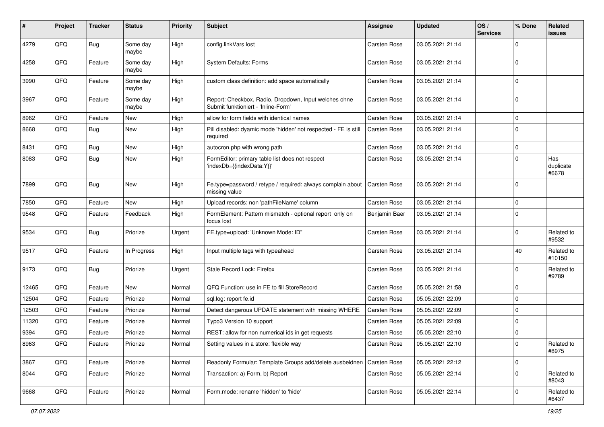| ∦     | Project | <b>Tracker</b> | <b>Status</b>     | <b>Priority</b> | <b>Subject</b>                                                                               | Assignee      | <b>Updated</b>   | OS/<br><b>Services</b> | % Done         | Related<br>issues         |
|-------|---------|----------------|-------------------|-----------------|----------------------------------------------------------------------------------------------|---------------|------------------|------------------------|----------------|---------------------------|
| 4279  | QFQ     | <b>Bug</b>     | Some day<br>maybe | High            | config.linkVars lost                                                                         | Carsten Rose  | 03.05.2021 21:14 |                        | 0              |                           |
| 4258  | QFQ     | Feature        | Some day<br>maybe | High            | <b>System Defaults: Forms</b>                                                                | Carsten Rose  | 03.05.2021 21:14 |                        | 0              |                           |
| 3990  | QFQ     | Feature        | Some day<br>maybe | High            | custom class definition: add space automatically                                             | Carsten Rose  | 03.05.2021 21:14 |                        | 0              |                           |
| 3967  | QFQ     | Feature        | Some day<br>maybe | High            | Report: Checkbox, Radio, Dropdown, Input welches ohne<br>Submit funktioniert - 'Inline-Form' | Carsten Rose  | 03.05.2021 21:14 |                        | $\mathbf 0$    |                           |
| 8962  | QFQ     | Feature        | New               | High            | allow for form fields with identical names                                                   | Carsten Rose  | 03.05.2021 21:14 |                        | $\mathbf 0$    |                           |
| 8668  | QFQ     | Bug            | New               | High            | Pill disabled: dyamic mode 'hidden' not respected - FE is still<br>required                  | Carsten Rose  | 03.05.2021 21:14 |                        | $\mathbf 0$    |                           |
| 8431  | QFQ     | Bug            | <b>New</b>        | High            | autocron.php with wrong path                                                                 | Carsten Rose  | 03.05.2021 21:14 |                        | 0              |                           |
| 8083  | QFQ     | Bug            | New               | High            | FormEditor: primary table list does not respect<br>'indexDb={{indexData:Y}}'                 | Carsten Rose  | 03.05.2021 21:14 |                        | 0              | Has<br>duplicate<br>#6678 |
| 7899  | QFQ     | <b>Bug</b>     | New               | High            | Fe.type=password / retype / required: always complain about<br>missing value                 | Carsten Rose  | 03.05.2021 21:14 |                        | $\mathbf 0$    |                           |
| 7850  | QFQ     | Feature        | <b>New</b>        | High            | Upload records: non 'pathFileName' column                                                    | Carsten Rose  | 03.05.2021 21:14 |                        | $\mathbf 0$    |                           |
| 9548  | QFQ     | Feature        | Feedback          | High            | FormElement: Pattern mismatch - optional report only on<br>focus lost                        | Benjamin Baer | 03.05.2021 21:14 |                        | $\mathbf 0$    |                           |
| 9534  | QFQ     | <b>Bug</b>     | Priorize          | Urgent          | FE.type=upload: 'Unknown Mode: ID"                                                           | Carsten Rose  | 03.05.2021 21:14 |                        | $\mathbf 0$    | Related to<br>#9532       |
| 9517  | QFQ     | Feature        | In Progress       | High            | Input multiple tags with typeahead                                                           | Carsten Rose  | 03.05.2021 21:14 |                        | 40             | Related to<br>#10150      |
| 9173  | QFQ     | <b>Bug</b>     | Priorize          | Urgent          | Stale Record Lock: Firefox                                                                   | Carsten Rose  | 03.05.2021 21:14 |                        | 0              | Related to<br>#9789       |
| 12465 | QFQ     | Feature        | New               | Normal          | QFQ Function: use in FE to fill StoreRecord                                                  | Carsten Rose  | 05.05.2021 21:58 |                        | $\mathbf 0$    |                           |
| 12504 | QFQ     | Feature        | Priorize          | Normal          | sql.log: report fe.id                                                                        | Carsten Rose  | 05.05.2021 22:09 |                        | 0              |                           |
| 12503 | QFQ     | Feature        | Priorize          | Normal          | Detect dangerous UPDATE statement with missing WHERE                                         | Carsten Rose  | 05.05.2021 22:09 |                        | 0              |                           |
| 11320 | QFQ     | Feature        | Priorize          | Normal          | Typo3 Version 10 support                                                                     | Carsten Rose  | 05.05.2021 22:09 |                        | 0              |                           |
| 9394  | QFQ     | Feature        | Priorize          | Normal          | REST: allow for non numerical ids in get requests                                            | Carsten Rose  | 05.05.2021 22:10 |                        | 0              |                           |
| 8963  | QFQ     | Feature        | Priorize          | Normal          | Setting values in a store: flexible way                                                      | Carsten Rose  | 05.05.2021 22:10 |                        | 0              | Related to<br>#8975       |
| 3867  | QFQ     | Feature        | Priorize          | Normal          | Readonly Formular: Template Groups add/delete ausbeldnen                                     | Carsten Rose  | 05.05.2021 22:12 |                        | $\overline{0}$ |                           |
| 8044  | QFQ     | Feature        | Priorize          | Normal          | Transaction: a) Form, b) Report                                                              | Carsten Rose  | 05.05.2021 22:14 |                        | 0              | Related to<br>#8043       |
| 9668  | QFQ     | Feature        | Priorize          | Normal          | Form.mode: rename 'hidden' to 'hide'                                                         | Carsten Rose  | 05.05.2021 22:14 |                        | 0              | Related to<br>#6437       |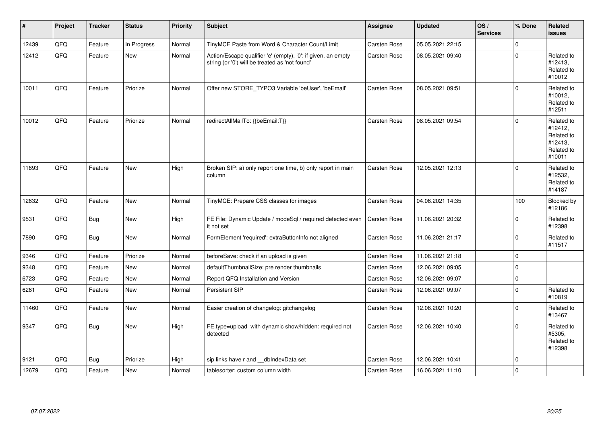| $\vert$ # | Project | <b>Tracker</b> | <b>Status</b> | <b>Priority</b> | <b>Subject</b>                                                                                                 | Assignee            | <b>Updated</b>   | OS/<br><b>Services</b> | % Done      | Related<br><b>issues</b>                                               |
|-----------|---------|----------------|---------------|-----------------|----------------------------------------------------------------------------------------------------------------|---------------------|------------------|------------------------|-------------|------------------------------------------------------------------------|
| 12439     | QFQ     | Feature        | In Progress   | Normal          | TinyMCE Paste from Word & Character Count/Limit                                                                | Carsten Rose        | 05.05.2021 22:15 |                        | $\Omega$    |                                                                        |
| 12412     | QFQ     | Feature        | New           | Normal          | Action/Escape qualifier 'e' (empty), '0': if given, an empty<br>string (or '0') will be treated as 'not found' | <b>Carsten Rose</b> | 08.05.2021 09:40 |                        | $\pmb{0}$   | Related to<br>#12413,<br>Related to<br>#10012                          |
| 10011     | QFQ     | Feature        | Priorize      | Normal          | Offer new STORE TYPO3 Variable 'beUser', 'beEmail'                                                             | <b>Carsten Rose</b> | 08.05.2021 09:51 |                        | $\Omega$    | Related to<br>#10012,<br>Related to<br>#12511                          |
| 10012     | QFQ     | Feature        | Priorize      | Normal          | redirectAllMailTo: {{beEmail:T}}                                                                               | Carsten Rose        | 08.05.2021 09:54 |                        | $\Omega$    | Related to<br>#12412,<br>Related to<br>#12413,<br>Related to<br>#10011 |
| 11893     | QFQ     | Feature        | New           | High            | Broken SIP: a) only report one time, b) only report in main<br>column                                          | Carsten Rose        | 12.05.2021 12:13 |                        | $\mathbf 0$ | Related to<br>#12532.<br>Related to<br>#14187                          |
| 12632     | QFQ     | Feature        | New           | Normal          | TinyMCE: Prepare CSS classes for images                                                                        | Carsten Rose        | 04.06.2021 14:35 |                        | 100         | Blocked by<br>#12186                                                   |
| 9531      | QFQ     | <b>Bug</b>     | New           | High            | FE File: Dynamic Update / modeSql / required detected even<br>it not set                                       | <b>Carsten Rose</b> | 11.06.2021 20:32 |                        | $\mathbf 0$ | Related to<br>#12398                                                   |
| 7890      | QFQ     | <b>Bug</b>     | New           | Normal          | FormElement 'required': extraButtonInfo not aligned                                                            | Carsten Rose        | 11.06.2021 21:17 |                        | $\mathbf 0$ | Related to<br>#11517                                                   |
| 9346      | QFQ     | Feature        | Priorize      | Normal          | beforeSave: check if an upload is given                                                                        | <b>Carsten Rose</b> | 11.06.2021 21:18 |                        | $\mathsf 0$ |                                                                        |
| 9348      | QFQ     | Feature        | <b>New</b>    | Normal          | defaultThumbnailSize: pre render thumbnails                                                                    | Carsten Rose        | 12.06.2021 09:05 |                        | $\mathbf 0$ |                                                                        |
| 6723      | QFQ     | Feature        | New           | Normal          | Report QFQ Installation and Version                                                                            | Carsten Rose        | 12.06.2021 09:07 |                        | $\mathbf 0$ |                                                                        |
| 6261      | QFQ     | Feature        | <b>New</b>    | Normal          | Persistent SIP                                                                                                 | Carsten Rose        | 12.06.2021 09:07 |                        | $\mathbf 0$ | Related to<br>#10819                                                   |
| 11460     | QFQ     | Feature        | New           | Normal          | Easier creation of changelog: gitchangelog                                                                     | <b>Carsten Rose</b> | 12.06.2021 10:20 |                        | $\mathbf 0$ | Related to<br>#13467                                                   |
| 9347      | QFQ     | <b>Bug</b>     | New           | High            | FE.type=upload with dynamic show/hidden: required not<br>detected                                              | Carsten Rose        | 12.06.2021 10:40 |                        | $\mathbf 0$ | Related to<br>#5305,<br>Related to<br>#12398                           |
| 9121      | QFQ     | <b>Bug</b>     | Priorize      | High            | sip links have r and dblndexData set                                                                           | Carsten Rose        | 12.06.2021 10:41 |                        | $\mathbf 0$ |                                                                        |
| 12679     | QFQ     | Feature        | New           | Normal          | tablesorter: custom column width                                                                               | <b>Carsten Rose</b> | 16.06.2021 11:10 |                        | $\mathbf 0$ |                                                                        |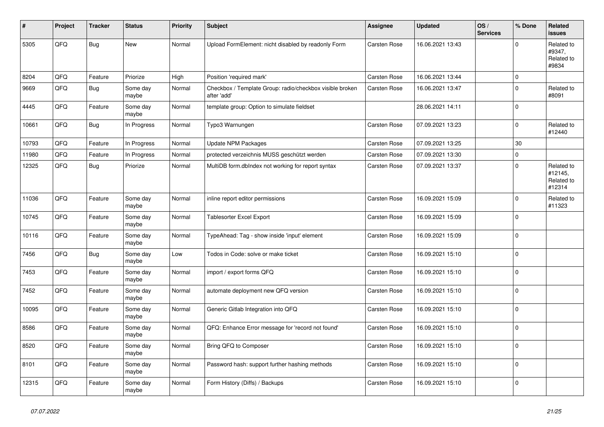| #     | Project | <b>Tracker</b> | <b>Status</b>     | <b>Priority</b> | <b>Subject</b>                                                          | <b>Assignee</b>     | <b>Updated</b>   | OS/<br><b>Services</b> | % Done      | Related<br>issues                             |
|-------|---------|----------------|-------------------|-----------------|-------------------------------------------------------------------------|---------------------|------------------|------------------------|-------------|-----------------------------------------------|
| 5305  | QFQ     | <b>Bug</b>     | <b>New</b>        | Normal          | Upload FormElement: nicht disabled by readonly Form                     | Carsten Rose        | 16.06.2021 13:43 |                        | $\Omega$    | Related to<br>#9347,<br>Related to<br>#9834   |
| 8204  | QFQ     | Feature        | Priorize          | High            | Position 'required mark'                                                | <b>Carsten Rose</b> | 16.06.2021 13:44 |                        | 0           |                                               |
| 9669  | QFQ     | Bug            | Some day<br>maybe | Normal          | Checkbox / Template Group: radio/checkbox visible broken<br>after 'add' | Carsten Rose        | 16.06.2021 13:47 |                        | $\Omega$    | Related to<br>#8091                           |
| 4445  | QFQ     | Feature        | Some day<br>maybe | Normal          | template group: Option to simulate fieldset                             |                     | 28.06.2021 14:11 |                        | 0           |                                               |
| 10661 | QFQ     | <b>Bug</b>     | In Progress       | Normal          | Typo3 Warnungen                                                         | Carsten Rose        | 07.09.2021 13:23 |                        | $\Omega$    | Related to<br>#12440                          |
| 10793 | QFQ     | Feature        | In Progress       | Normal          | <b>Update NPM Packages</b>                                              | <b>Carsten Rose</b> | 07.09.2021 13:25 |                        | 30          |                                               |
| 11980 | QFQ     | Feature        | In Progress       | Normal          | protected verzeichnis MUSS geschützt werden                             | Carsten Rose        | 07.09.2021 13:30 |                        | $\Omega$    |                                               |
| 12325 | QFQ     | <b>Bug</b>     | Priorize          | Normal          | MultiDB form.dblndex not working for report syntax                      | Carsten Rose        | 07.09.2021 13:37 |                        | $\Omega$    | Related to<br>#12145,<br>Related to<br>#12314 |
| 11036 | QFQ     | Feature        | Some day<br>maybe | Normal          | inline report editor permissions                                        | Carsten Rose        | 16.09.2021 15:09 |                        | $\Omega$    | Related to<br>#11323                          |
| 10745 | QFQ     | Feature        | Some day<br>maybe | Normal          | <b>Tablesorter Excel Export</b>                                         | Carsten Rose        | 16.09.2021 15:09 |                        | 0           |                                               |
| 10116 | QFQ     | Feature        | Some day<br>maybe | Normal          | TypeAhead: Tag - show inside 'input' element                            | Carsten Rose        | 16.09.2021 15:09 |                        | $\Omega$    |                                               |
| 7456  | QFQ     | <b>Bug</b>     | Some day<br>maybe | Low             | Todos in Code: solve or make ticket                                     | Carsten Rose        | 16.09.2021 15:10 |                        | $\Omega$    |                                               |
| 7453  | QFQ     | Feature        | Some day<br>maybe | Normal          | import / export forms QFQ                                               | <b>Carsten Rose</b> | 16.09.2021 15:10 |                        | 0 I         |                                               |
| 7452  | QFQ     | Feature        | Some day<br>maybe | Normal          | automate deployment new QFQ version                                     | Carsten Rose        | 16.09.2021 15:10 |                        | $\mathbf 0$ |                                               |
| 10095 | QFQ     | Feature        | Some day<br>maybe | Normal          | Generic Gitlab Integration into QFQ                                     | Carsten Rose        | 16.09.2021 15:10 |                        | 0 I         |                                               |
| 8586  | QFQ     | Feature        | Some day<br>maybe | Normal          | QFQ: Enhance Error message for 'record not found'                       | Carsten Rose        | 16.09.2021 15:10 |                        | $\Omega$    |                                               |
| 8520  | QFQ     | Feature        | Some day<br>maybe | Normal          | Bring QFQ to Composer                                                   | Carsten Rose        | 16.09.2021 15:10 |                        | $\Omega$    |                                               |
| 8101  | QFQ     | Feature        | Some day<br>maybe | Normal          | Password hash: support further hashing methods                          | Carsten Rose        | 16.09.2021 15:10 |                        | $\Omega$    |                                               |
| 12315 | QFQ     | Feature        | Some day<br>maybe | Normal          | Form History (Diffs) / Backups                                          | <b>Carsten Rose</b> | 16.09.2021 15:10 |                        | $\Omega$    |                                               |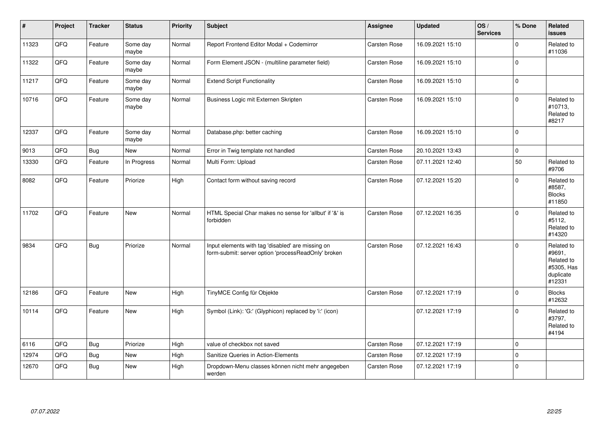| $\vert$ # | Project | <b>Tracker</b> | <b>Status</b>     | <b>Priority</b> | <b>Subject</b>                                                                                           | <b>Assignee</b>     | <b>Updated</b>   | OS/<br><b>Services</b> | % Done      | Related<br>issues                                                       |
|-----------|---------|----------------|-------------------|-----------------|----------------------------------------------------------------------------------------------------------|---------------------|------------------|------------------------|-------------|-------------------------------------------------------------------------|
| 11323     | QFQ     | Feature        | Some day<br>maybe | Normal          | Report Frontend Editor Modal + Codemirror                                                                | Carsten Rose        | 16.09.2021 15:10 |                        | $\Omega$    | Related to<br>#11036                                                    |
| 11322     | QFQ     | Feature        | Some day<br>maybe | Normal          | Form Element JSON - (multiline parameter field)                                                          | <b>Carsten Rose</b> | 16.09.2021 15:10 |                        | $\Omega$    |                                                                         |
| 11217     | QFQ     | Feature        | Some day<br>maybe | Normal          | <b>Extend Script Functionality</b>                                                                       | Carsten Rose        | 16.09.2021 15:10 |                        | $\Omega$    |                                                                         |
| 10716     | QFQ     | Feature        | Some day<br>maybe | Normal          | Business Logic mit Externen Skripten                                                                     | Carsten Rose        | 16.09.2021 15:10 |                        | $\Omega$    | Related to<br>#10713,<br>Related to<br>#8217                            |
| 12337     | QFQ     | Feature        | Some day<br>maybe | Normal          | Database.php: better caching                                                                             | Carsten Rose        | 16.09.2021 15:10 |                        | $\Omega$    |                                                                         |
| 9013      | QFQ     | <b>Bug</b>     | New               | Normal          | Error in Twig template not handled                                                                       | Carsten Rose        | 20.10.2021 13:43 |                        | $\mathbf 0$ |                                                                         |
| 13330     | QFG     | Feature        | In Progress       | Normal          | Multi Form: Upload                                                                                       | Carsten Rose        | 07.11.2021 12:40 |                        | 50          | Related to<br>#9706                                                     |
| 8082      | QFQ     | Feature        | Priorize          | High            | Contact form without saving record                                                                       | Carsten Rose        | 07.12.2021 15:20 |                        | $\Omega$    | Related to<br>#8587,<br><b>Blocks</b><br>#11850                         |
| 11702     | QFQ     | Feature        | <b>New</b>        | Normal          | HTML Special Char makes no sense for 'allbut' if '&' is<br>forbidden                                     | Carsten Rose        | 07.12.2021 16:35 |                        | $\Omega$    | Related to<br>#5112,<br>Related to<br>#14320                            |
| 9834      | QFQ     | <b>Bug</b>     | Priorize          | Normal          | Input elements with tag 'disabled' are missing on<br>form-submit: server option 'processReadOnly' broken | <b>Carsten Rose</b> | 07.12.2021 16:43 |                        | $\Omega$    | Related to<br>#9691,<br>Related to<br>#5305, Has<br>duplicate<br>#12331 |
| 12186     | QFQ     | Feature        | <b>New</b>        | High            | TinyMCE Config für Objekte                                                                               | Carsten Rose        | 07.12.2021 17:19 |                        | $\Omega$    | <b>Blocks</b><br>#12632                                                 |
| 10114     | QFQ     | Feature        | New               | High            | Symbol (Link): 'G:' (Glyphicon) replaced by 'i:' (icon)                                                  |                     | 07.12.2021 17:19 |                        | $\Omega$    | Related to<br>#3797,<br>Related to<br>#4194                             |
| 6116      | QFQ     | <b>Bug</b>     | Priorize          | High            | value of checkbox not saved                                                                              | Carsten Rose        | 07.12.2021 17:19 |                        | $\mathbf 0$ |                                                                         |
| 12974     | QFQ     | <b>Bug</b>     | <b>New</b>        | High            | Sanitize Queries in Action-Elements                                                                      | Carsten Rose        | 07.12.2021 17:19 |                        | $\Omega$    |                                                                         |
| 12670     | QFQ     | <b>Bug</b>     | New               | High            | Dropdown-Menu classes können nicht mehr angegeben<br>werden                                              | Carsten Rose        | 07.12.2021 17:19 |                        | 0           |                                                                         |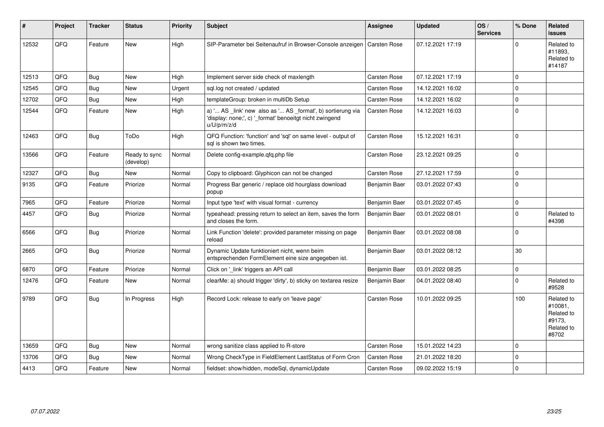| #     | Project | <b>Tracker</b> | <b>Status</b>              | <b>Priority</b> | <b>Subject</b>                                                                                                                        | Assignee            | <b>Updated</b>   | OS/<br><b>Services</b> | % Done      | Related<br><b>issues</b>                                             |
|-------|---------|----------------|----------------------------|-----------------|---------------------------------------------------------------------------------------------------------------------------------------|---------------------|------------------|------------------------|-------------|----------------------------------------------------------------------|
| 12532 | QFQ     | Feature        | <b>New</b>                 | High            | SIP-Parameter bei Seitenaufruf in Browser-Console anzeigen                                                                            | Carsten Rose        | 07.12.2021 17:19 |                        | $\Omega$    | Related to<br>#11893,<br>Related to<br>#14187                        |
| 12513 | QFQ     | Bug            | <b>New</b>                 | High            | Implement server side check of maxlength                                                                                              | Carsten Rose        | 07.12.2021 17:19 |                        | $\Omega$    |                                                                      |
| 12545 | QFQ     | <b>Bug</b>     | New                        | Urgent          | sql.log not created / updated                                                                                                         | Carsten Rose        | 14.12.2021 16:02 |                        | $\Omega$    |                                                                      |
| 12702 | QFQ     | Bug            | <b>New</b>                 | High            | templateGroup: broken in multiDb Setup                                                                                                | Carsten Rose        | 14.12.2021 16:02 |                        | $\Omega$    |                                                                      |
| 12544 | QFQ     | Feature        | New                        | High            | a) ' AS _link' new also as ' AS _format', b) sortierung via<br>'display: none;', c) ' format' benoeitgt nicht zwingend<br>u/U/p/m/z/d | <b>Carsten Rose</b> | 14.12.2021 16:03 |                        | $\Omega$    |                                                                      |
| 12463 | QFQ     | Bug            | ToDo                       | High            | QFQ Function: 'function' and 'sql' on same level - output of<br>sal is shown two times.                                               | <b>Carsten Rose</b> | 15.12.2021 16:31 |                        | $\Omega$    |                                                                      |
| 13566 | QFQ     | Feature        | Ready to sync<br>(develop) | Normal          | Delete config-example.qfq.php file                                                                                                    | Carsten Rose        | 23.12.2021 09:25 |                        | $\Omega$    |                                                                      |
| 12327 | QFQ     | <b>Bug</b>     | <b>New</b>                 | Normal          | Copy to clipboard: Glyphicon can not be changed                                                                                       | <b>Carsten Rose</b> | 27.12.2021 17:59 |                        | $\mathbf 0$ |                                                                      |
| 9135  | QFQ     | Feature        | Priorize                   | Normal          | Progress Bar generic / replace old hourglass download<br>popup                                                                        | Benjamin Baer       | 03.01.2022 07:43 |                        | $\mathbf 0$ |                                                                      |
| 7965  | QFQ     | Feature        | Priorize                   | Normal          | Input type 'text' with visual format - currency                                                                                       | Benjamin Baer       | 03.01.2022 07:45 |                        | $\mathbf 0$ |                                                                      |
| 4457  | QFQ     | <b>Bug</b>     | Priorize                   | Normal          | typeahead: pressing return to select an item, saves the form<br>and closes the form.                                                  | Benjamin Baer       | 03.01.2022 08:01 |                        | $\Omega$    | Related to<br>#4398                                                  |
| 6566  | QFQ     | Bug            | Priorize                   | Normal          | Link Function 'delete': provided parameter missing on page<br>reload                                                                  | Benjamin Baer       | 03.01.2022 08:08 |                        | $\mathbf 0$ |                                                                      |
| 2665  | QFQ     | <b>Bug</b>     | Priorize                   | Normal          | Dynamic Update funktioniert nicht, wenn beim<br>entsprechenden FormElement eine size angegeben ist.                                   | Benjamin Baer       | 03.01.2022 08:12 |                        | 30          |                                                                      |
| 6870  | QFQ     | Feature        | Priorize                   | Normal          | Click on '_link' triggers an API call                                                                                                 | Benjamin Baer       | 03.01.2022 08:25 |                        | $\mathbf 0$ |                                                                      |
| 12476 | QFQ     | Feature        | <b>New</b>                 | Normal          | clearMe: a) should trigger 'dirty', b) sticky on textarea resize                                                                      | Benjamin Baer       | 04.01.2022 08:40 |                        | $\Omega$    | Related to<br>#9528                                                  |
| 9789  | QFQ     | Bug            | In Progress                | High            | Record Lock: release to early on 'leave page'                                                                                         | Carsten Rose        | 10.01.2022 09:25 |                        | 100         | Related to<br>#10081,<br>Related to<br>#9173,<br>Related to<br>#8702 |
| 13659 | QFQ     | Bug            | <b>New</b>                 | Normal          | wrong sanitize class applied to R-store                                                                                               | Carsten Rose        | 15.01.2022 14:23 |                        | $\mathbf 0$ |                                                                      |
| 13706 | QFQ     | <b>Bug</b>     | New                        | Normal          | Wrong CheckType in FieldElement LastStatus of Form Cron                                                                               | <b>Carsten Rose</b> | 21.01.2022 18:20 |                        | $\mathbf 0$ |                                                                      |
| 4413  | QFQ     | Feature        | <b>New</b>                 | Normal          | fieldset: show/hidden, modeSql, dynamicUpdate                                                                                         | Carsten Rose        | 09.02.2022 15:19 |                        | $\mathbf 0$ |                                                                      |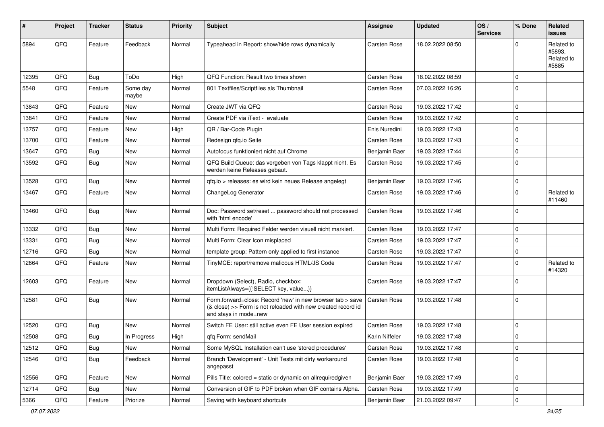| ∦     | Project | <b>Tracker</b> | <b>Status</b>     | <b>Priority</b> | <b>Subject</b>                                                                                                                                      | <b>Assignee</b>     | <b>Updated</b>   | OS/<br><b>Services</b> | % Done      | Related<br>issues                           |
|-------|---------|----------------|-------------------|-----------------|-----------------------------------------------------------------------------------------------------------------------------------------------------|---------------------|------------------|------------------------|-------------|---------------------------------------------|
| 5894  | QFQ     | Feature        | Feedback          | Normal          | Typeahead in Report: show/hide rows dynamically                                                                                                     | <b>Carsten Rose</b> | 18.02.2022 08:50 |                        | $\Omega$    | Related to<br>#5893,<br>Related to<br>#5885 |
| 12395 | QFQ     | <b>Bug</b>     | ToDo              | High            | QFQ Function: Result two times shown                                                                                                                | Carsten Rose        | 18.02.2022 08:59 |                        | $\mathbf 0$ |                                             |
| 5548  | QFQ     | Feature        | Some day<br>maybe | Normal          | 801 Textfiles/Scriptfiles als Thumbnail                                                                                                             | Carsten Rose        | 07.03.2022 16:26 |                        | 0           |                                             |
| 13843 | QFQ     | Feature        | New               | Normal          | Create JWT via QFQ                                                                                                                                  | <b>Carsten Rose</b> | 19.03.2022 17:42 |                        | $\mathbf 0$ |                                             |
| 13841 | QFQ     | Feature        | <b>New</b>        | Normal          | Create PDF via iText - evaluate                                                                                                                     | <b>Carsten Rose</b> | 19.03.2022 17:42 |                        | $\mathbf 0$ |                                             |
| 13757 | QFQ     | Feature        | New               | High            | QR / Bar-Code Plugin                                                                                                                                | Enis Nuredini       | 19.03.2022 17:43 |                        | $\mathbf 0$ |                                             |
| 13700 | QFQ     | Feature        | New               | Normal          | Redesign qfq.io Seite                                                                                                                               | <b>Carsten Rose</b> | 19.03.2022 17:43 |                        | $\mathbf 0$ |                                             |
| 13647 | QFQ     | Bug            | New               | Normal          | Autofocus funktioniert nicht auf Chrome                                                                                                             | Benjamin Baer       | 19.03.2022 17:44 |                        | $\mathbf 0$ |                                             |
| 13592 | QFQ     | Bug            | <b>New</b>        | Normal          | QFQ Build Queue: das vergeben von Tags klappt nicht. Es<br>werden keine Releases gebaut.                                                            | Carsten Rose        | 19.03.2022 17:45 |                        | $\Omega$    |                                             |
| 13528 | QFQ     | <b>Bug</b>     | <b>New</b>        | Normal          | qfq.io > releases: es wird kein neues Release angelegt                                                                                              | Benjamin Baer       | 19.03.2022 17:46 |                        | $\mathbf 0$ |                                             |
| 13467 | QFQ     | Feature        | <b>New</b>        | Normal          | ChangeLog Generator                                                                                                                                 | Carsten Rose        | 19.03.2022 17:46 |                        | 0           | Related to<br>#11460                        |
| 13460 | QFQ     | <b>Bug</b>     | <b>New</b>        | Normal          | Doc: Password set/reset  password should not processed<br>with 'html encode'                                                                        | Carsten Rose        | 19.03.2022 17:46 |                        | $\Omega$    |                                             |
| 13332 | QFQ     | <b>Bug</b>     | <b>New</b>        | Normal          | Multi Form: Required Felder werden visuell nicht markiert.                                                                                          | <b>Carsten Rose</b> | 19.03.2022 17:47 |                        | $\mathbf 0$ |                                             |
| 13331 | QFQ     | Bug            | <b>New</b>        | Normal          | Multi Form: Clear Icon misplaced                                                                                                                    | <b>Carsten Rose</b> | 19.03.2022 17:47 |                        | $\mathbf 0$ |                                             |
| 12716 | QFQ     | Bug            | New               | Normal          | template group: Pattern only applied to first instance                                                                                              | Carsten Rose        | 19.03.2022 17:47 |                        | 0           |                                             |
| 12664 | QFQ     | Feature        | New               | Normal          | TinyMCE: report/remove malicous HTML/JS Code                                                                                                        | <b>Carsten Rose</b> | 19.03.2022 17:47 |                        | $\mathbf 0$ | Related to<br>#14320                        |
| 12603 | QFQ     | Feature        | <b>New</b>        | Normal          | Dropdown (Select), Radio, checkbox:<br>itemListAlways={{!SELECT key, value}}                                                                        | Carsten Rose        | 19.03.2022 17:47 |                        | $\Omega$    |                                             |
| 12581 | QFQ     | Bug            | New               | Normal          | Form.forward=close: Record 'new' in new browser tab > save<br>(& close) >> Form is not reloaded with new created record id<br>and stays in mode=new | Carsten Rose        | 19.03.2022 17:48 |                        | 0           |                                             |
| 12520 | QFQ     | Bug            | <b>New</b>        | Normal          | Switch FE User: still active even FE User session expired                                                                                           | Carsten Rose        | 19.03.2022 17:48 |                        | $\mathbf 0$ |                                             |
| 12508 | QFQ     | <b>Bug</b>     | In Progress       | High            | qfq Form: sendMail                                                                                                                                  | Karin Niffeler      | 19.03.2022 17:48 |                        | $\mathbf 0$ |                                             |
| 12512 | QFQ     | <b>Bug</b>     | New               | Normal          | Some MySQL Installation can't use 'stored procedures'                                                                                               | Carsten Rose        | 19.03.2022 17:48 |                        | 0           |                                             |
| 12546 | QFQ     | <b>Bug</b>     | Feedback          | Normal          | Branch 'Development' - Unit Tests mit dirty workaround<br>angepasst                                                                                 | Carsten Rose        | 19.03.2022 17:48 |                        | 0           |                                             |
| 12556 | QFQ     | Feature        | New               | Normal          | Pills Title: colored = static or dynamic on allrequiredgiven                                                                                        | Benjamin Baer       | 19.03.2022 17:49 |                        | 0           |                                             |
| 12714 | QFQ     | <b>Bug</b>     | New               | Normal          | Conversion of GIF to PDF broken when GIF contains Alpha.                                                                                            | Carsten Rose        | 19.03.2022 17:49 |                        | 0           |                                             |
| 5366  | QFQ     | Feature        | Priorize          | Normal          | Saving with keyboard shortcuts                                                                                                                      | Benjamin Baer       | 21.03.2022 09:47 |                        | 0           |                                             |